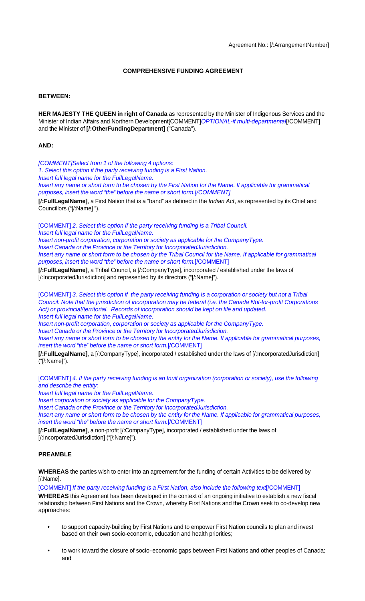# **COMPREHENSIVE FUNDING AGREEMENT**

#### **BETWEEN:**

**HER MAJESTY THE QUEEN in right of Canada** as represented by the Minister of Indigenous Services and the Minister of Indian Affairs and Northern Development[COMMENT]OPTIONAL-if multi-departmental[/COMMENT] and the Minister of **[/:OtherFundingDepartment]** ("Canada").

#### **AND:**

[COMMENT]Select from 1 of the following 4 options:

1. Select this option if the party receiving funding is a First Nation.

Insert full legal name for the FullLegalName.

Insert any name or short form to be chosen by the First Nation for the Name. If applicable for grammatical purposes, insert the word "the" before the name or short form.[/COMMENT]

**[/:FullLegalName]**, a First Nation that is a "band" as defined in the Indian Act, as represented by its Chief and Councillors ("[/:Name] ").

[COMMENT] 2. Select this option if the party receiving funding is a Tribal Council. Insert full legal name for the FullLegalName.

Insert non-profit corporation, corporation or society as applicable for the CompanyType. Insert Canada or the Province or the Territory for IncorporatedJurisdiction. Insert any name or short form to be chosen by the Tribal Council for the Name. If applicable for grammatical purposes, insert the word "the" before the name or short form.[/COMMENT]

**[/:FullLegalName]**, a Tribal Council, a [/:CompanyType], incorporated / established under the laws of [/:IncorporatedJurisdiction] and represented by its directors ("[/:Name]").

[COMMENT] 3. Select this option if the party receiving funding is a corporation or society but not a Tribal Council: Note that the jurisdiction of incorporation may be federal (i.e. the Canada Not-for-profit Corporations Act) or provincial/territorial. Records of incorporation should be kept on file and updated. Insert full legal name for the FullLegalName.

Insert non-profit corporation, corporation or society as applicable for the CompanyType.

Insert Canada or the Province or the Territory for IncorporatedJurisdiction.

Insert any name or short form to be chosen by the entity for the Name. If applicable for grammatical purposes, insert the word "the" before the name or short form.[/COMMENT]

**[/:FullLegalName]**, a [/:CompanyType], incorporated / established under the laws of [/:IncorporatedJurisdiction] ("[/:Name]").

[COMMENT] 4. If the party receiving funding is an Inuit organization (corporation or society), use the following and describe the entity:

Insert full legal name for the FullLegalName.

Insert corporation or society as applicable for the CompanyType.

Insert Canada or the Province or the Territory for IncorporatedJurisdiction.

Insert any name or short form to be chosen by the entity for the Name. If applicable for grammatical purposes, insert the word "the" before the name or short form.[/COMMENT]

**[/:FullLegalName]**, a non-profit [/:CompanyType], incorporated / established under the laws of [/:IncorporatedJurisdiction] ("[/:Name]").

## **PREAMBLE**

**WHEREAS** the parties wish to enter into an agreement for the funding of certain Activities to be delivered by [/:Name].

[COMMENT] If the party receiving funding is a First Nation, also include the following text[/COMMENT]

**WHEREAS** this Agreement has been developed in the context of an ongoing initiative to establish a new fiscal relationship between First Nations and the Crown, whereby First Nations and the Crown seek to co-develop new approaches:

- **•** to support capacity-building by First Nations and to empower First Nation councils to plan and invest based on their own socio-economic, education and health priorities;
- **•** to work toward the closure of socio‐economic gaps between First Nations and other peoples of Canada; and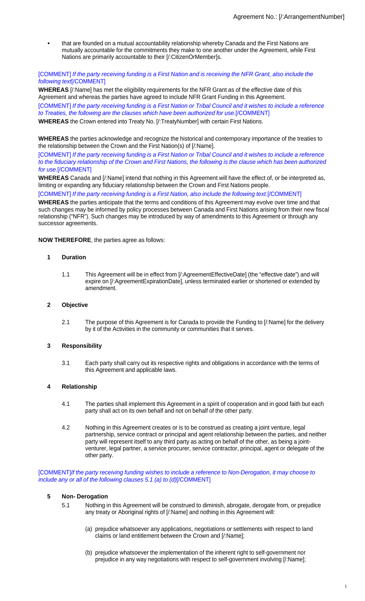**•** that are founded on a mutual accountability relationship whereby Canada and the First Nations are mutually accountable for the commitments they make to one another under the Agreement, while First Nations are primarily accountable to their [/:CitizenOrMember]s.

#### [COMMENT] If the party receiving funding is a First Nation and is receiving the NFR Grant, also include the following text[/COMMENT]

**WHEREAS** [/:Name] has met the eligibility requirements for the NFR Grant as of the effective date of this Agreement and whereas the parties have agreed to include NFR Grant Funding in this Agreement.

[COMMENT] If the party receiving funding is a First Nation or Tribal Council and it wishes to include a reference to Treaties, the following are the clauses which have been authorized for use.[/COMMENT]

**WHEREAS** the Crown entered into Treaty No. [/:TreatyNumber] with certain First Nations.

**WHEREAS** the parties acknowledge and recognize the historical and contemporary importance of the treaties to the relationship between the Crown and the First Nation(s) of [/:Name].

[COMMENT] If the party receiving funding is a First Nation or Tribal Council and it wishes to include a reference to the fiduciary relationship of the Crown and First Nations, the following is the clause which has been authorized for use.[/COMMENT]

**WHEREAS** Canada and [/:Name] intend that nothing in this Agreement will have the effect of, or be interpreted as, limiting or expanding any fiduciary relationship between the Crown and First Nations people.

[COMMENT] If the party receiving funding is a First Nation, also include the following text.[/COMMENT]

**WHEREAS** the parties anticipate that the terms and conditions of this Agreement may evolve over time and that such changes may be informed by policy processes between Canada and First Nations arising from their new fiscal relationship ("NFR"). Such changes may be introduced by way of amendments to this Agreement or through any successor agreements.

**NOW THEREFORE**, the parties agree as follows:

# **1 Duration**

1.1 This Agreement will be in effect from [/:AgreementEffectiveDate] (the "effective date") and will expire on [/:AgreementExpirationDate], unless terminated earlier or shortened or extended by amendment.

#### **2 Objective**

2.1 The purpose of this Agreement is for Canada to provide the Funding to [/:Name] for the delivery by it of the Activities in the community or communities that it serves.

## **3 Responsibility**

3.1 Each party shall carry out its respective rights and obligations in accordance with the terms of this Agreement and applicable laws.

## **4 Relationship**

- 4.1 The parties shall implement this Agreement in a spirit of cooperation and in good faith but each party shall act on its own behalf and not on behalf of the other party.
- 4.2 Nothing in this Agreement creates or is to be construed as creating a joint venture, legal partnership, service contract or principal and agent relationship between the parties, and neither party will represent itself to any third party as acting on behalf of the other, as being a jointventurer, legal partner, a service procurer, service contractor, principal, agent or delegate of the other party.

[COMMENT]If the party receiving funding wishes to include a reference to Non-Derogation, it may choose to include any or all of the following clauses 5.1 (a) to (d)[/COMMENT]

#### **5 Non- Derogation**

- 5.1 Nothing in this Agreement will be construed to diminish, abrogate, derogate from, or prejudice any treaty or Aboriginal rights of [/:Name] and nothing in this Agreement will:
	- (a) prejudice whatsoever any applications, negotiations or settlements with respect to land claims or land entitlement between the Crown and [/:Name];
	- (b) prejudice whatsoever the implementation of the inherent right to self-government nor prejudice in any way negotiations with respect to self-government involving [/:Name];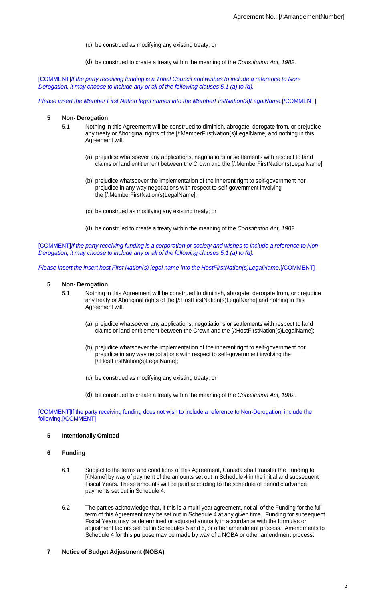- (c) be construed as modifying any existing treaty; or
- (d) be construed to create a treaty within the meaning of the Constitution Act, 1982.

[COMMENT]If the party receiving funding is a Tribal Council and wishes to include a reference to Non-Derogation, it may choose to include any or all of the following clauses 5.1 (a) to (d).

Please insert the Member First Nation legal names into the MemberFirstNation(s)LegalName.[/COMMENT]

#### **5 Non- Derogation**

- 5.1 Nothing in this Agreement will be construed to diminish, abrogate, derogate from, or prejudice any treaty or Aboriginal rights of the [/:MemberFirstNation(s)LegalName] and nothing in this Agreement will:
	- (a) prejudice whatsoever any applications, negotiations or settlements with respect to land claims or land entitlement between the Crown and the [/:MemberFirstNation(s)LegalName];
	- (b) prejudice whatsoever the implementation of the inherent right to self-government nor prejudice in any way negotiations with respect to self-government involving the [/:MemberFirstNation(s)LegalName];
	- (c) be construed as modifying any existing treaty; or
	- (d) be construed to create a treaty within the meaning of the Constitution Act, 1982.

[COMMENT]If the party receiving funding is a corporation or society and wishes to include a reference to Non-Derogation, it may choose to include any or all of the following clauses 5.1 (a) to (d).

Please insert the insert host First Nation(s) legal name into the HostFirstNation(s)LegalName.[/COMMENT]

#### **5 Non- Derogation**

- 5.1 Nothing in this Agreement will be construed to diminish, abrogate, derogate from, or prejudice any treaty or Aboriginal rights of the [/:HostFirstNation(s)LegalName] and nothing in this Agreement will:
	- (a) prejudice whatsoever any applications, negotiations or settlements with respect to land claims or land entitlement between the Crown and the [/:HostFirstNation(s)LegalName];
	- (b) prejudice whatsoever the implementation of the inherent right to self-government nor prejudice in any way negotiations with respect to self-government involving the [/:HostFirstNation(s)LegalName];
	- (c) be construed as modifying any existing treaty; or
	- (d) be construed to create a treaty within the meaning of the Constitution Act, 1982.

[COMMENT]If the party receiving funding does not wish to include a reference to Non-Derogation, include the following.[/COMMENT]

#### **5 Intentionally Omitted**

#### **6 Funding**

- 6.1 Subject to the terms and conditions of this Agreement, Canada shall transfer the Funding to [/:Name] by way of payment of the amounts set out in Schedule 4 in the initial and subsequent Fiscal Years. These amounts will be paid according to the schedule of periodic advance payments set out in Schedule 4.
- 6.2 The parties acknowledge that, if this is a multi-year agreement, not all of the Funding for the full term of this Agreement may be set out in Schedule 4 at any given time. Funding for subsequent Fiscal Years may be determined or adjusted annually in accordance with the formulas or adjustment factors set out in Schedules 5 and 6, or other amendment process. Amendments to Schedule 4 for this purpose may be made by way of a NOBA or other amendment process.

## **7 Notice of Budget Adjustment (NOBA)**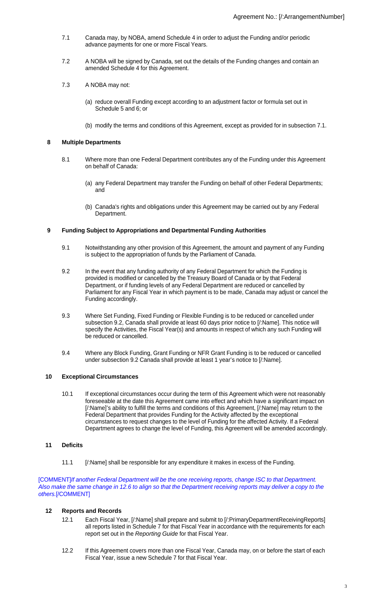- 7.1 Canada may, by NOBA, amend Schedule 4 in order to adjust the Funding and/or periodic advance payments for one or more Fiscal Years.
- 7.2 A NOBA will be signed by Canada, set out the details of the Funding changes and contain an amended Schedule 4 for this Agreement.
- 7.3 A NOBA may not:
	- (a) reduce overall Funding except according to an adjustment factor or formula set out in Schedule 5 and 6; or
	- (b) modify the terms and conditions of this Agreement, except as provided for in subsection 7.1.

## **8 Multiple Departments**

- 8.1 Where more than one Federal Department contributes any of the Funding under this Agreement on behalf of Canada:
	- (a) any Federal Department may transfer the Funding on behalf of other Federal Departments; and
	- (b) Canada's rights and obligations under this Agreement may be carried out by any Federal Department.

## **9 Funding Subject to Appropriations and Departmental Funding Authorities**

- 9.1 Notwithstanding any other provision of this Agreement, the amount and payment of any Funding is subject to the appropriation of funds by the Parliament of Canada.
- 9.2 In the event that any funding authority of any Federal Department for which the Funding is provided is modified or cancelled by the Treasury Board of Canada or by that Federal Department, or if funding levels of any Federal Department are reduced or cancelled by Parliament for any Fiscal Year in which payment is to be made, Canada may adjust or cancel the Funding accordingly.
- 9.3 Where Set Funding, Fixed Funding or Flexible Funding is to be reduced or cancelled under subsection 9.2, Canada shall provide at least 60 days prior notice to [/:Name]. This notice will specify the Activities, the Fiscal Year(s) and amounts in respect of which any such Funding will be reduced or cancelled.
- 9.4 Where any Block Funding, Grant Funding or NFR Grant Funding is to be reduced or cancelled under subsection 9.2 Canada shall provide at least 1 year's notice to [/:Name].

## **10 Exceptional Circumstances**

10.1 If exceptional circumstances occur during the term of this Agreement which were not reasonably foreseeable at the date this Agreement came into effect and which have a significant impact on [/:Name]'s ability to fulfill the terms and conditions of this Agreement, [/:Name] may return to the Federal Department that provides Funding for the Activity affected by the exceptional circumstances to request changes to the level of Funding for the affected Activity. If a Federal Department agrees to change the level of Funding, this Agreement will be amended accordingly.

## **11 Deficits**

11.1 [/:Name] shall be responsible for any expenditure it makes in excess of the Funding.

[COMMENT]If another Federal Department will be the one receiving reports, change ISC to that Department. Also make the same change in 12.6 to align so that the Department receiving reports may deliver a copy to the others.[/COMMENT]

# **12 Reports and Records**

- 12.1 Each Fiscal Year, [/:Name] shall prepare and submit to [/:PrimaryDepartmentReceivingReports] all reports listed in Schedule 7 for that Fiscal Year in accordance with the requirements for each report set out in the Reporting Guide for that Fiscal Year.
- 12.2 If this Agreement covers more than one Fiscal Year, Canada may, on or before the start of each Fiscal Year, issue a new Schedule 7 for that Fiscal Year.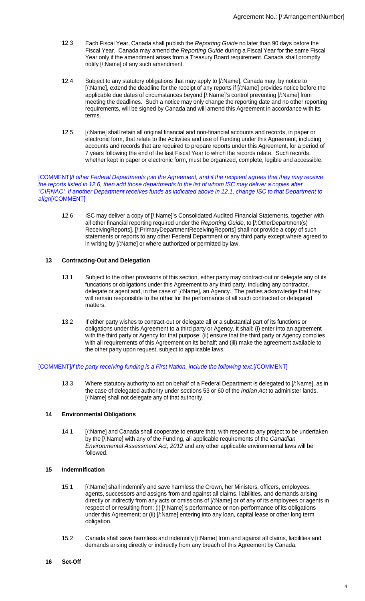- 12.3 Each Fiscal Year, Canada shall publish the Reporting Guide no later than 90 days before the Fiscal Year. Canada may amend the Reporting Guide during a Fiscal Year for the same Fiscal Year only if the amendment arises from a Treasury Board requirement. Canada shall promptly notify [/:Name] of any such amendment.
- 12.4 Subject to any statutory obligations that may apply to [/:Name], Canada may, by notice to [/:Name], extend the deadline for the receipt of any reports if [/:Name] provides notice before the applicable due dates of circumstances beyond [/:Name]'s control preventing [/:Name] from meeting the deadlines. Such a notice may only change the reporting date and no other reporting requirements, will be signed by Canada and will amend this Agreement in accordance with its terms.
- 12.5 [/:Name] shall retain all original financial and non-financial accounts and records, in paper or electronic form, that relate to the Activities and use of Funding under this Agreement, including accounts and records that are required to prepare reports under this Agreement, for a period of 7 years following the end of the last Fiscal Year to which the records relate. Such records, whether kept in paper or electronic form, must be organized, complete, legible and accessible.

#### [COMMENT]If other Federal Departments join the Agreement, and if the recipient agrees that they may receive the reports listed in 12.6, then add those departments to the list of whom ISC may deliver a copies after "CIRNAC". If another Department receives funds as indicated above in 12.1, change ISC to that Department to align[/COMMENT]

12.6 ISC may deliver a copy of [/:Name]'s Consolidated Audited Financial Statements, together with all other financial reporting required under the Reporting Guide, to [/:OtherDepartment(s) ReceivingReports]. [/:PrimaryDepartmentReceivingReports] shall not provide a copy of such statements or reports to any other Federal Department or any third party except where agreed to in writing by [/:Name] or where authorized or permitted by law.

## **13 Contracting-Out and Delegation**

- 13.1 Subject to the other provisions of this section, either party may contract-out or delegate any of its funcations or obligations under this Agreement to any third party, including any contractor, delegate or agent and, in the case of [/:Name], an Agency. The parties acknowledge that they will remain responsible to the other for the performance of all such contracted or delegated matters.
- 13.2 If either party wishes to contract-out or delegate all or a substantial part of its functions or obligations under this Agreement to a third party or Agency, it shall: (i) enter into an agreement with the third party or Agency for that purpose; (ii) ensure that the third party or Agency complies with all requirements of this Agreement on its behalf; and (iii) make the agreement available to the other party upon request, subject to applicable laws.

#### [COMMENT]If the party receiving funding is a First Nation, include the following text.[/COMMENT]

13.3 Where statutory authority to act on behalf of a Federal Department is delegated to [/:Name], as in the case of delegated authority under sections 53 or 60 of the Indian Act to administer lands, [/:Name] shall not delegate any of that authority.

## **14 Environmental Obligations**

14.1 [/:Name] and Canada shall cooperate to ensure that, with respect to any project to be undertaken by the [/:Name] with any of the Funding, all applicable requirements of the Canadian Environmental Assessment Act, 2012 and any other applicable environmental laws will be followed.

# **15 Indemnification**

- 15.1 [/:Name] shall indemnify and save harmless the Crown, her Ministers, officers, employees, agents, successors and assigns from and against all claims, liabilities, and demands arising directly or indirectly from any acts or omissions of [/:Name] or of any of its employees or agents in respect of or resulting from: (i) [/:Name]'s performance or non-performance of its obligations under this Agreement; or (ii) [/:Name] entering into any loan, capital lease or other long term obligation.
- 15.2 Canada shall save harmless and indemnify [/:Name] from and against all claims, liabilities and demands arising directly or indirectly from any breach of this Agreement by Canada.

#### **16 Set-Off**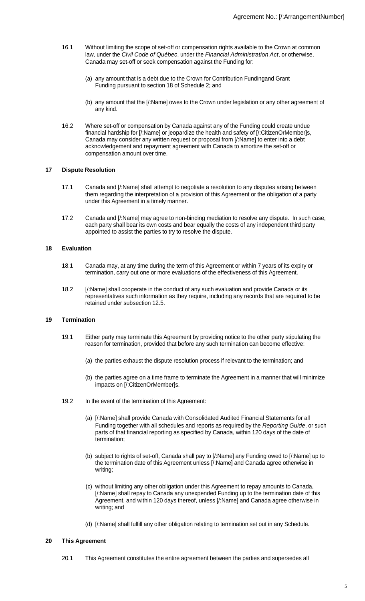- 16.1 Without limiting the scope of set-off or compensation rights available to the Crown at common law, under the Civil Code of Québec, under the Financial Administration Act, or otherwise, Canada may set-off or seek compensation against the Funding for:
	- (a) any amount that is a debt due to the Crown for Contribution Fundingand Grant Funding pursuant to section 18 of Schedule 2; and
	- (b) any amount that the [/:Name] owes to the Crown under legislation or any other agreement of any kind.
- 16.2 Where set-off or compensation by Canada against any of the Funding could create undue financial hardship for [/:Name] or jeopardize the health and safety of [/:CitizenOrMember]s, Canada may consider any written request or proposal from [/:Name] to enter into a debt acknowledgement and repayment agreement with Canada to amortize the set-off or compensation amount over time.

#### **17 Dispute Resolution**

- 17.1 Canada and [/:Name] shall attempt to negotiate a resolution to any disputes arising between them regarding the interpretation of a provision of this Agreement or the obligation of a party under this Agreement in a timely manner.
- 17.2 Canada and [/:Name] may agree to non-binding mediation to resolve any dispute. In such case, each party shall bear its own costs and bear equally the costs of any independent third party appointed to assist the parties to try to resolve the dispute.

#### **18 Evaluation**

- 18.1 Canada may, at any time during the term of this Agreement or within 7 years of its expiry or termination, carry out one or more evaluations of the effectiveness of this Agreement.
- 18.2 [/:Name] shall cooperate in the conduct of any such evaluation and provide Canada or its representatives such information as they require, including any records that are required to be retained under subsection 12.5.

## **19 Termination**

- 19.1 Either party may terminate this Agreement by providing notice to the other party stipulating the reason for termination, provided that before any such termination can become effective:
	- (a) the parties exhaust the dispute resolution process if relevant to the termination; and
	- (b) the parties agree on a time frame to terminate the Agreement in a manner that will minimize impacts on [/:CitizenOrMember]s.
- 19.2 In the event of the termination of this Agreement:
	- (a) [/:Name] shall provide Canada with Consolidated Audited Financial Statements for all Funding together with all schedules and reports as required by the Reporting Guide, or such parts of that financial reporting as specified by Canada, within 120 days of the date of termination;
	- (b) subject to rights of set-off, Canada shall pay to [/:Name] any Funding owed to [/:Name] up to the termination date of this Agreement unless [/:Name] and Canada agree otherwise in writing;
	- (c) without limiting any other obligation under this Agreement to repay amounts to Canada, [/:Name] shall repay to Canada any unexpended Funding up to the termination date of this Agreement, and within 120 days thereof, unless [/:Name] and Canada agree otherwise in writing; and
	- (d) [/:Name] shall fulfill any other obligation relating to termination set out in any Schedule.

## **20 This Agreement**

20.1 This Agreement constitutes the entire agreement between the parties and supersedes all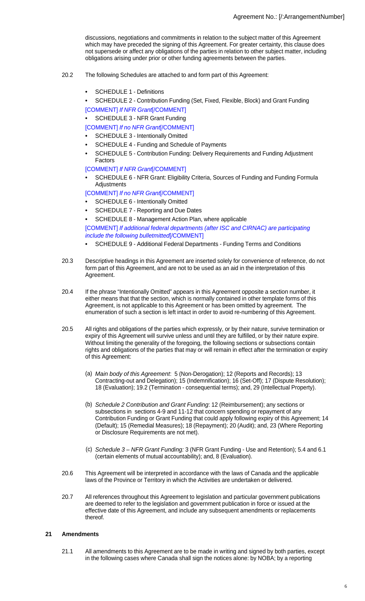discussions, negotiations and commitments in relation to the subject matter of this Agreement which may have preceded the signing of this Agreement. For greater certainty, this clause does not supersede or affect any obligations of the parties in relation to other subject matter, including obligations arising under prior or other funding agreements between the parties.

- 20.2 The following Schedules are attached to and form part of this Agreement:
	- **•** SCHEDULE 1 Definitions
	- **•** SCHEDULE 2 Contribution Funding (Set, Fixed, Flexible, Block) and Grant Funding
	- [COMMENT] If NFR Grant[/COMMENT]
	- **•** SCHEDULE 3 NFR Grant Funding

[COMMENT] If no NFR Grant[/COMMENT]

- **•** SCHEDULE 3 Intentionally Omitted
- **•** SCHEDULE 4 Funding and Schedule of Payments
- **•** SCHEDULE 5 Contribution Funding: Delivery Requirements and Funding Adjustment Factors

## [COMMENT] If NFR Grant[/COMMENT]

**•** SCHEDULE 6 - NFR Grant: Eligibility Criteria, Sources of Funding and Funding Formula Adjustments

[COMMENT] If no NFR Grant[/COMMENT]

- **•** SCHEDULE 6 Intentionally Omitted
- **•** SCHEDULE 7 Reporting and Due Dates
- **•** SCHEDULE 8 Management Action Plan, where applicable

[COMMENT] If additional federal departments (after ISC and CIRNAC) are participating include the following bulletmitted[/COMMENT]

- **•** SCHEDULE 9 Additional Federal Departments Funding Terms and Conditions
- 20.3 Descriptive headings in this Agreement are inserted solely for convenience of reference, do not form part of this Agreement, and are not to be used as an aid in the interpretation of this Agreement.
- 20.4 If the phrase "Intentionally Omitted" appears in this Agreement opposite a section number, it either means that that the section, which is normally contained in other template forms of this Agreement, is not applicable to this Agreement or has been omitted by agreement. The enumeration of such a section is left intact in order to avoid re-numbering of this Agreement.
- 20.5 All rights and obligations of the parties which expressly, or by their nature, survive termination or expiry of this Agreement will survive unless and until they are fulfilled, or by their nature expire. Without limiting the generality of the foregoing, the following sections or subsections contain rights and obligations of the parties that may or will remain in effect after the termination or expiry of this Agreement:
	- (a) Main body of this Agreement: 5 (Non-Derogation); 12 (Reports and Records); 13 Contracting-out and Delegation); 15 (Indemnification); 16 (Set-Off); 17 (Dispute Resolution); 18 (Evaluation); 19.2 (Termination - consequential terms); and, 29 (Intellectual Property).
	- (b) Schedule 2 Contribution and Grant Funding: 12 (Reimbursement); any sections or subsections in sections 4-9 and 11-12 that concern spending or repayment of any Contribution Funding or Grant Funding that could apply following expiry of this Agreement; 14 (Default); 15 (Remedial Measures); 18 (Repayment); 20 (Audit); and, 23 (Where Reporting or Disclosure Requirements are not met).
	- (c) Schedule 3 NFR Grant Funding: 3 (NFR Grant Funding Use and Retention); 5.4 and 6.1 (certain elements of mutual accountability); and, 8 (Evaluation).
- 20.6 This Agreement will be interpreted in accordance with the laws of Canada and the applicable laws of the Province or Territory in which the Activities are undertaken or delivered.
- 20.7 All references throughout this Agreement to legislation and particular government publications are deemed to refer to the legislation and government publication in force or issued at the effective date of this Agreement, and include any subsequent amendments or replacements thereof.

## **21 Amendments**

21.1 All amendments to this Agreement are to be made in writing and signed by both parties, except in the following cases where Canada shall sign the notices alone: by NOBA; by a reporting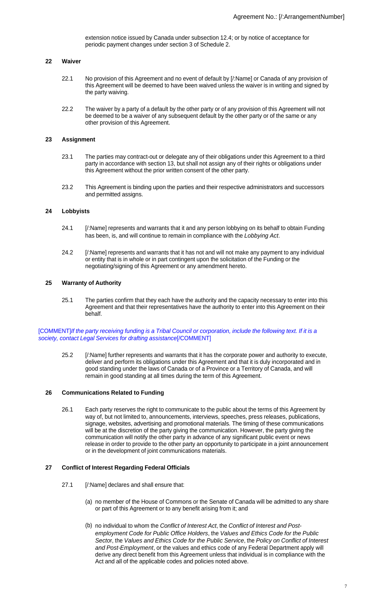extension notice issued by Canada under subsection 12.4; or by notice of acceptance for periodic payment changes under section 3 of Schedule 2.

#### **22 Waiver**

- 22.1 No provision of this Agreement and no event of default by [/:Name] or Canada of any provision of this Agreement will be deemed to have been waived unless the waiver is in writing and signed by the party waiving.
- 22.2 The waiver by a party of a default by the other party or of any provision of this Agreement will not be deemed to be a waiver of any subsequent default by the other party or of the same or any other provision of this Agreement.

#### **23 Assignment**

- 23.1 The parties may contract-out or delegate any of their obligations under this Agreement to a third party in accordance with section 13, but shall not assign any of their rights or obligations under this Agreement without the prior written consent of the other party.
- 23.2 This Agreement is binding upon the parties and their respective administrators and successors and permitted assigns.

#### **24 Lobbyists**

- 24.1 [/:Name] represents and warrants that it and any person lobbying on its behalf to obtain Funding has been, is, and will continue to remain in compliance with the Lobbying Act.
- 24.2 [/:Name] represents and warrants that it has not and will not make any payment to any individual or entity that is in whole or in part contingent upon the solicitation of the Funding or the negotiating/signing of this Agreement or any amendment hereto.

#### **25 Warranty of Authority**

25.1 The parties confirm that they each have the authority and the capacity necessary to enter into this Agreement and that their representatives have the authority to enter into this Agreement on their behalf.

[COMMENT]If the party receiving funding is a Tribal Council or corporation, include the following text. If it is a society, contact Legal Services for drafting assistance[/COMMENT]

25.2 [/:Name] further represents and warrants that it has the corporate power and authority to execute, deliver and perform its obligations under this Agreement and that it is duly incorporated and in good standing under the laws of Canada or of a Province or a Territory of Canada, and will remain in good standing at all times during the term of this Agreement.

#### **26 Communications Related to Funding**

26.1 Each party reserves the right to communicate to the public about the terms of this Agreement by way of, but not limited to, announcements, interviews, speeches, press releases, publications, signage, websites, advertising and promotional materials. The timing of these communications will be at the discretion of the party giving the communication. However, the party giving the communication will notify the other party in advance of any significant public event or news release in order to provide to the other party an opportunity to participate in a joint announcement or in the development of joint communications materials.

#### **27 Conflict of Interest Regarding Federal Officials**

- 27.1 [/:Name] declares and shall ensure that:
	- (a) no member of the House of Commons or the Senate of Canada will be admitted to any share or part of this Agreement or to any benefit arising from it; and
	- (b) no individual to whom the Conflict of Interest Act, the Conflict of Interest and Postemployment Code for Public Office Holders, the Values and Ethics Code for the Public Sector, the Values and Ethics Code for the Public Service, the Policy on Conflict of Interest and Post-Employment, or the values and ethics code of any Federal Department apply will derive any direct benefit from this Agreement unless that individual is in compliance with the Act and all of the applicable codes and policies noted above.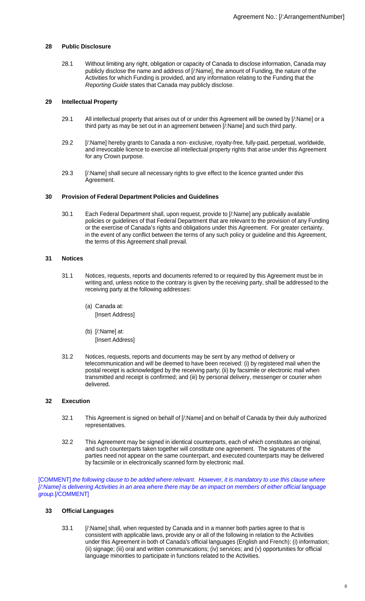# **28 Public Disclosure**

28.1 Without limiting any right, obligation or capacity of Canada to disclose information, Canada may publicly disclose the name and address of [/:Name], the amount of Funding, the nature of the Activities for which Funding is provided, and any information relating to the Funding that the Reporting Guide states that Canada may publicly disclose.

# **29 Intellectual Property**

- 29.1 All intellectual property that arises out of or under this Agreement will be owned by [/:Name] or a third party as may be set out in an agreement between [/:Name] and such third party.
- 29.2 [/:Name] hereby grants to Canada a non- exclusive, royalty-free, fully-paid, perpetual, worldwide, and irrevocable licence to exercise all intellectual property rights that arise under this Agreement for any Crown purpose.
- 29.3 [/:Name] shall secure all necessary rights to give effect to the licence granted under this Agreement.

## **30 Provision of Federal Department Policies and Guidelines**

30.1 Each Federal Department shall, upon request, provide to [/:Name] any publically available policies or guidelines of that Federal Department that are relevant to the provision of any Funding or the exercise of Canada's rights and obligations under this Agreement. For greater certainty, in the event of any conflict between the terms of any such policy or guideline and this Agreement, the terms of this Agreement shall prevail.

## **31 Notices**

- 31.1 Notices, requests, reports and documents referred to or required by this Agreement must be in writing and, unless notice to the contrary is given by the receiving party, shall be addressed to the receiving party at the following addresses:
	- (a) Canada at: [Insert Address]
	- (b) [/:Name] at: [Insert Address]
- 31.2 Notices, requests, reports and documents may be sent by any method of delivery or telecommunication and will be deemed to have been received: (i) by registered mail when the postal receipt is acknowledged by the receiving party; (ii) by facsimile or electronic mail when transmitted and receipt is confirmed; and (iii) by personal delivery, messenger or courier when delivered.

## **32 Execution**

- 32.1 This Agreement is signed on behalf of [/:Name] and on behalf of Canada by their duly authorized representatives.
- 32.2 This Agreement may be signed in identical counterparts, each of which constitutes an original, and such counterparts taken together will constitute one agreement. The signatures of the parties need not appear on the same counterpart, and executed counterparts may be delivered by facsimile or in electronically scanned form by electronic mail.

[COMMENT] the following clause to be added where relevant. However, it is mandatory to use this clause where [/:Name] is delivering Activities in an area where there may be an impact on members of either official language group.[/COMMENT]

## **33 Official Languages**

33.1 [/:Name] shall, when requested by Canada and in a manner both parties agree to that is consistent with applicable laws, provide any or all of the following in relation to the Activities under this Agreement in both of Canada's official languages (English and French): (i) information; (ii) signage; (iii) oral and written communications; (iv) services; and (v) opportunities for official language minorities to participate in functions related to the Activities.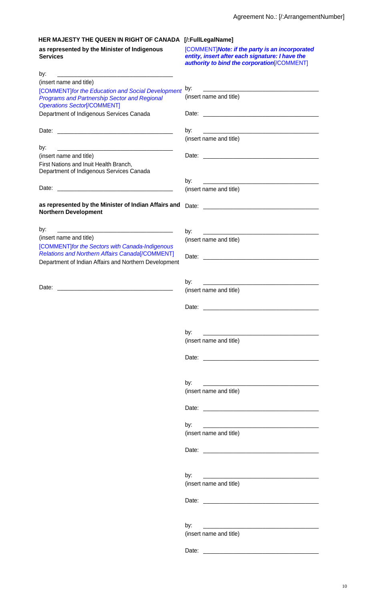[COMMENT]**Note: if the party is an incorporated entity, insert after each signature: I have the** 

# **HER MAJESTY THE QUEEN IN RIGHT OF CANADA [/:FullLegalName]**

**as represented by the Minister of Indigenous Services**

|                                                                                                                                                                     | <b>authority to bind the corporation [/COMMENT]</b>                                                                          |
|---------------------------------------------------------------------------------------------------------------------------------------------------------------------|------------------------------------------------------------------------------------------------------------------------------|
| by:                                                                                                                                                                 |                                                                                                                              |
| (insert name and title)                                                                                                                                             |                                                                                                                              |
| [COMMENT] for the Education and Social Development<br><b>Programs and Partnership Sector and Regional</b>                                                           | by:<br>(insert name and title)                                                                                               |
| <b>Operations Sector[/COMMENT]</b><br>Department of Indigenous Services Canada                                                                                      |                                                                                                                              |
|                                                                                                                                                                     |                                                                                                                              |
|                                                                                                                                                                     | by:<br>(insert name and title)                                                                                               |
| by:                                                                                                                                                                 |                                                                                                                              |
| <u> 2000 - Jan James James Jan James James James James James James James James James James James James James Jam</u><br>(insert name and title)                     |                                                                                                                              |
| First Nations and Inuit Health Branch,<br>Department of Indigenous Services Canada                                                                                  |                                                                                                                              |
|                                                                                                                                                                     | by:                                                                                                                          |
| Date:                                                                                                                                                               | (insert name and title)                                                                                                      |
| as represented by the Minister of Indian Affairs and<br><b>Northern Development</b>                                                                                 |                                                                                                                              |
| by:                                                                                                                                                                 | by:                                                                                                                          |
| (insert name and title)                                                                                                                                             | (insert name and title)                                                                                                      |
| [COMMENT] for the Sectors with Canada-Indigenous<br><b>Relations and Northern Affairs Canada[/COMMENT]</b><br>Department of Indian Affairs and Northern Development |                                                                                                                              |
|                                                                                                                                                                     |                                                                                                                              |
| Date:                                                                                                                                                               | by:<br><u> 1980 - Jan James Barnett, mars et al. (</u><br>(insert name and title)                                            |
|                                                                                                                                                                     |                                                                                                                              |
|                                                                                                                                                                     | by:                                                                                                                          |
|                                                                                                                                                                     | (insert name and title)                                                                                                      |
|                                                                                                                                                                     |                                                                                                                              |
|                                                                                                                                                                     | by:<br><u> 2000 - 2000 - 2000 - 2000 - 2000 - 2000 - 2000 - 2000 - 2000 - 2000 - 2000 - 2000 - 2000 - 2000 - 2000 - 200</u>  |
|                                                                                                                                                                     | (insert name and title)                                                                                                      |
|                                                                                                                                                                     |                                                                                                                              |
|                                                                                                                                                                     | by:                                                                                                                          |
|                                                                                                                                                                     | (insert name and title)                                                                                                      |
|                                                                                                                                                                     |                                                                                                                              |
|                                                                                                                                                                     | by:<br><u> 1980 - Johann Barn, mars and de British Barn, mars and de British Barn, mars and de British Barn, mars and de</u> |
|                                                                                                                                                                     | (insert name and title)                                                                                                      |
|                                                                                                                                                                     |                                                                                                                              |
|                                                                                                                                                                     | by:                                                                                                                          |
|                                                                                                                                                                     | (insert name and title)                                                                                                      |
|                                                                                                                                                                     |                                                                                                                              |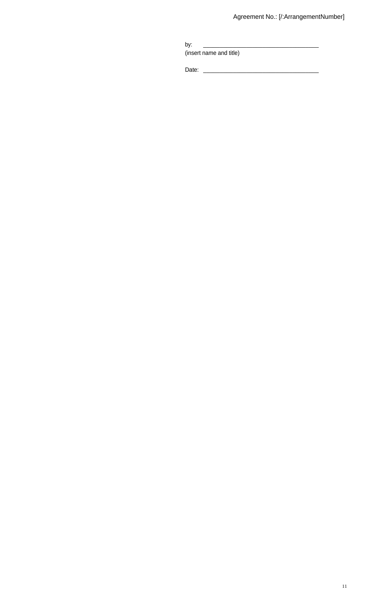| by:                     |  |
|-------------------------|--|
| (insert name and title) |  |

Date: \_\_\_\_\_\_\_\_\_\_\_\_\_\_\_\_\_\_\_\_\_\_\_\_\_\_\_\_\_\_\_\_\_\_\_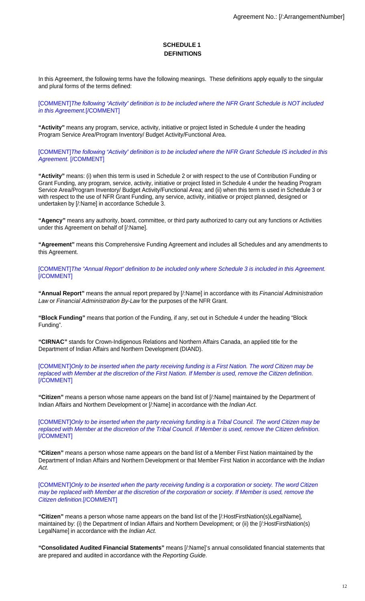# **SCHEDULE 1 DEFINITIONS**

In this Agreement, the following terms have the following meanings. These definitions apply equally to the singular and plural forms of the terms defined:

[COMMENT]The following "Activity" definition is to be included where the NFR Grant Schedule is NOT included in this Agreement.[/COMMENT]

**"Activity"** means any program, service, activity, initiative or project listed in Schedule 4 under the heading Program Service Area/Program Inventory/ Budget Activity/Functional Area.

[COMMENT]The following "Activity" definition is to be included where the NFR Grant Schedule IS included in this Agreement. [/COMMENT]

**"Activity"** means: (i) when this term is used in Schedule 2 or with respect to the use of Contribution Funding or Grant Funding, any program, service, activity, initiative or project listed in Schedule 4 under the heading Program Service Area/Program Inventory/ Budget Activity/Functional Area; and (ii) when this term is used in Schedule 3 or with respect to the use of NFR Grant Funding, any service, activity, initiative or project planned, designed or undertaken by [/:Name] in accordance Schedule 3.

**"Agency"** means any authority, board, committee, or third party authorized to carry out any functions or Activities under this Agreement on behalf of [/:Name].

**"Agreement"** means this Comprehensive Funding Agreement and includes all Schedules and any amendments to this Agreement.

[COMMENT]The "Annual Report" definition to be included only where Schedule 3 is included in this Agreement. [/COMMENT]

**"Annual Report"** means the annual report prepared by [/:Name] in accordance with its Financial Administration Law or Financial Administration By-Law for the purposes of the NFR Grant.

**"Block Funding"** means that portion of the Funding, if any, set out in Schedule 4 under the heading "Block Funding".

**"CIRNAC"** stands for Crown-Indigenous Relations and Northern Affairs Canada, an applied title for the Department of Indian Affairs and Northern Development (DIAND).

[COMMENT]Only to be inserted when the party receiving funding is a First Nation. The word Citizen may be replaced with Member at the discretion of the First Nation. If Member is used, remove the Citizen definition. [/COMMENT]

**"Citizen"** means a person whose name appears on the band list of [/:Name] maintained by the Department of Indian Affairs and Northern Development or [/:Name] in accordance with the *Indian Act.* 

[COMMENT]Only to be inserted when the party receiving funding is a Tribal Council. The word Citizen may be replaced with Member at the discretion of the Tribal Council. If Member is used, remove the Citizen definition. [/COMMENT]

**"Citizen"** means a person whose name appears on the band list of a Member First Nation maintained by the Department of Indian Affairs and Northern Development or that Member First Nation in accordance with the Indian Act.

[COMMENT]Only to be inserted when the party receiving funding is a corporation or society. The word Citizen may be replaced with Member at the discretion of the corporation or society. If Member is used, remove the Citizen definition.[/COMMENT]

**"Citizen"** means a person whose name appears on the band list of the [/:HostFirstNation(s)LegalName], maintained by: (i) the Department of Indian Affairs and Northern Development; or (ii) the [/:HostFirstNation(s) LegalName] in accordance with the Indian Act.

**"Consolidated Audited Financial Statements"** means [/:Name]'s annual consolidated financial statements that are prepared and audited in accordance with the Reporting Guide.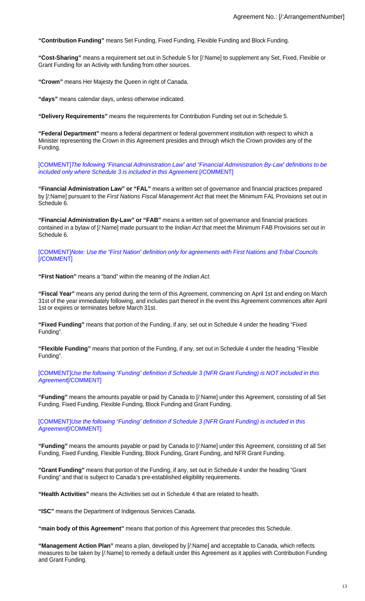**"Contribution Funding"** means Set Funding, Fixed Funding, Flexible Funding and Block Funding.

**"Cost-Sharing"** means a requirement set out in Schedule 5 for [/:Name] to supplement any Set, Fixed, Flexible or Grant Funding for an Activity with funding from other sources.

**"Crown"** means Her Majesty the Queen in right of Canada.

**"days"** means calendar days, unless otherwise indicated.

**"Delivery Requirements"** means the requirements for Contribution Funding set out in Schedule 5.

**"Federal Department"** means a federal department or federal government institution with respect to which a Minister representing the Crown in this Agreement presides and through which the Crown provides any of the Funding.

[COMMENT]The following "Financial Administration Law" and "Financial Administration By-Law" definitions to be included only where Schedule 3 is included in this Agreement.[/COMMENT]

**"Financial Administration Law" or "FAL"** means a written set of governance and financial practices prepared by [/:Name] pursuant to the First Nations Fiscal Management Act that meet the Minimum FAL Provisions set out in Schedule 6.

**"Financial Administration By-Law" or "FAB"** means a written set of governance and financial practices contained in a bylaw of [/:Name] made pursuant to the *Indian Act* that meet the Minimum FAB Provisions set out in Schedule 6.

[COMMENT]Note: Use the "First Nation" definition only for agreements with First Nations and Tribal Councils [/COMMENT]

**"First Nation"** means a "band" within the meaning of the Indian Act.

**"Fiscal Year"** means any period during the term of this Agreement, commencing on April 1st and ending on March 31st of the year immediately following, and includes part thereof in the event this Agreement commences after April 1st or expires or terminates before March 31st.

**"Fixed Funding"** means that portion of the Funding, if any, set out in Schedule 4 under the heading "Fixed Funding".

**"Flexible Funding"** means that portion of the Funding, if any, set out in Schedule 4 under the heading "Flexible Funding".

[COMMENT]Use the following "Funding" definition if Schedule 3 (NFR Grant Funding) is NOT included in this Agreement (COMMENT)

**"Funding"** means the amounts payable or paid by Canada to [/:Name] under this Agreement, consisting of all Set Funding, Fixed Funding, Flexible Funding, Block Funding and Grant Funding.

[COMMENT]Use the following "Funding" definition if Schedule 3 (NFR Grant Funding) is included in this Agreement<sup>[/</sup>COMMENT]

**"Funding"** means the amounts payable or paid by Canada to [/:Name] under this Agreement, consisting of all Set Funding, Fixed Funding, Flexible Funding, Block Funding, Grant Funding, and NFR Grant Funding.

**"Grant Funding"** means that portion of the Funding, if any, set out in Schedule 4 under the heading "Grant Funding" and that is subject to Canada's pre-established eligibility requirements.

**"Health Activities"** means the Activities set out in Schedule 4 that are related to health.

**"ISC"** means the Department of Indigenous Services Canada.

**"main body of this Agreement"** means that portion of this Agreement that precedes this Schedule.

**"Management Action Plan"** means a plan, developed by [/:Name] and acceptable to Canada, which reflects measures to be taken by [/:Name] to remedy a default under this Agreement as it applies with Contribution Funding and Grant Funding.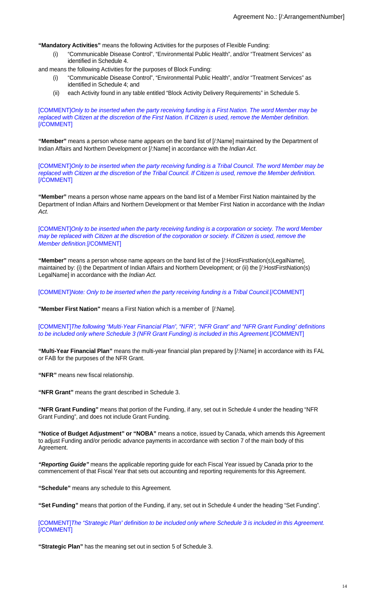**"Mandatory Activities"** means the following Activities for the purposes of Flexible Funding:

(i) "Communicable Disease Control", "Environmental Public Health", and/or "Treatment Services" as identified in Schedule 4.

and means the following Activities for the purposes of Block Funding:

- (i) "Communicable Disease Control", "Environmental Public Health", and/or "Treatment Services" as identified in Schedule 4; and
- (ii) each Activity found in any table entitled "Block Activity Delivery Requirements" in Schedule 5.

[COMMENT]Only to be inserted when the party receiving funding is a First Nation. The word Member may be replaced with Citizen at the discretion of the First Nation. If Citizen is used, remove the Member definition. [/COMMENT]

**"Member"** means a person whose name appears on the band list of [/:Name] maintained by the Department of Indian Affairs and Northern Development or [/:Name] in accordance with the *Indian Act.* 

[COMMENT]Only to be inserted when the party receiving funding is a Tribal Council. The word Member may be replaced with Citizen at the discretion of the Tribal Council. If Citizen is used, remove the Member definition. [/COMMENT]

**"Member"** means a person whose name appears on the band list of a Member First Nation maintained by the Department of Indian Affairs and Northern Development or that Member First Nation in accordance with the Indian Act.

[COMMENT]Only to be inserted when the party receiving funding is a corporation or society. The word Member may be replaced with Citizen at the discretion of the corporation or society. If Citizen is used, remove the Member definition.[/COMMENT]

**"Member"** means a person whose name appears on the band list of the [/:HostFirstNation(s)LegalName], maintained by: (i) the Department of Indian Affairs and Northern Development; or (ii) the [/:HostFirstNation(s) LegalName] in accordance with the Indian Act.

[COMMENT]Note: Only to be inserted when the party receiving funding is a Tribal Council.[/COMMENT]

**"Member First Nation"** means a First Nation which is a member of [/:Name].

[COMMENT]The following "Multi-Year Financial Plan", "NFR", "NFR Grant" and "NFR Grant Funding" definitions to be included only where Schedule 3 (NFR Grant Funding) is included in this Agreement.[/COMMENT]

**"Multi-Year Financial Plan"** means the multi-year financial plan prepared by [/:Name] in accordance with its FAL or FAB for the purposes of the NFR Grant.

**"NFR"** means new fiscal relationship.

**"NFR Grant"** means the grant described in Schedule 3.

**"NFR Grant Funding"** means that portion of the Funding, if any, set out in Schedule 4 under the heading "NFR Grant Funding", and does not include Grant Funding.

**"Notice of Budget Adjustment" or "NOBA"** means a notice, issued by Canada, which amends this Agreement to adjust Funding and/or periodic advance payments in accordance with section 7 of the main body of this Agreement.

**"Reporting Guide"** means the applicable reporting guide for each Fiscal Year issued by Canada prior to the commencement of that Fiscal Year that sets out accounting and reporting requirements for this Agreement.

**"Schedule"** means any schedule to this Agreement.

**"Set Funding"** means that portion of the Funding, if any, set out in Schedule 4 under the heading "Set Funding".

[COMMENT]The "Strategic Plan" definition to be included only where Schedule 3 is included in this Agreement.  $\overline{C}$ COMMENT]

**"Strategic Plan"** has the meaning set out in section 5 of Schedule 3.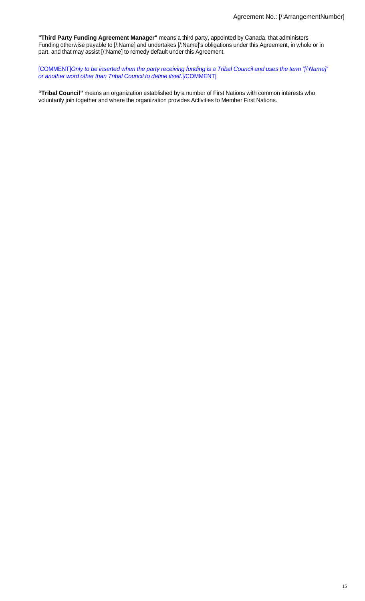**"Third Party Funding Agreement Manager"** means a third party, appointed by Canada, that administers Funding otherwise payable to [/:Name] and undertakes [/:Name]'s obligations under this Agreement, in whole or in part, and that may assist [/:Name] to remedy default under this Agreement.

[COMMENT]Only to be inserted when the party receiving funding is a Tribal Council and uses the term "[/:Name]" or another word other than Tribal Council to define itself.[/COMMENT]

**"Tribal Council"** means an organization established by a number of First Nations with common interests who voluntarily join together and where the organization provides Activities to Member First Nations.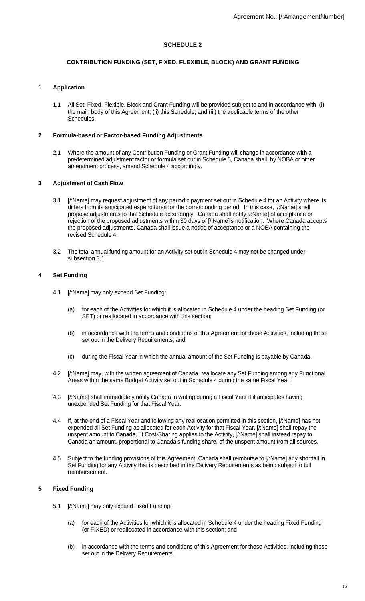# **SCHEDULE 2**

# **CONTRIBUTION FUNDING (SET, FIXED, FLEXIBLE, BLOCK) AND GRANT FUNDING**

# **1 Application**

1.1 All Set, Fixed, Flexible, Block and Grant Funding will be provided subject to and in accordance with: (i) the main body of this Agreement; (ii) this Schedule; and (iii) the applicable terms of the other Schedules.

# **2 Formula-based or Factor-based Funding Adjustments**

2.1 Where the amount of any Contribution Funding or Grant Funding will change in accordance with a predetermined adjustment factor or formula set out in Schedule 5, Canada shall, by NOBA or other amendment process, amend Schedule 4 accordingly.

# **3 Adjustment of Cash Flow**

- 3.1 [/:Name] may request adjustment of any periodic payment set out in Schedule 4 for an Activity where its differs from its anticipated expenditures for the corresponding period. In this case, [/:Name] shall propose adjustments to that Schedule accordingly. Canada shall notify [/:Name] of acceptance or rejection of the proposed adjustments within 30 days of [/:Name]'s notification. Where Canada accepts the proposed adjustments, Canada shall issue a notice of acceptance or a NOBA containing the revised Schedule 4.
- 3.2 The total annual funding amount for an Activity set out in Schedule 4 may not be changed under subsection 3.1.

# **4 Set Funding**

- 4.1 [/:Name] may only expend Set Funding:
	- (a) for each of the Activities for which it is allocated in Schedule 4 under the heading Set Funding (or SET) or reallocated in accordance with this section;
	- (b) in accordance with the terms and conditions of this Agreement for those Activities, including those set out in the Delivery Requirements; and
	- (c) during the Fiscal Year in which the annual amount of the Set Funding is payable by Canada.
- 4.2 [/:Name] may, with the written agreement of Canada, reallocate any Set Funding among any Functional Areas within the same Budget Activity set out in Schedule 4 during the same Fiscal Year.
- 4.3 [/:Name] shall immediately notify Canada in writing during a Fiscal Year if it anticipates having unexpended Set Funding for that Fiscal Year.
- 4.4 If, at the end of a Fiscal Year and following any reallocation permitted in this section, [/:Name] has not expended all Set Funding as allocated for each Activity for that Fiscal Year, [/:Name] shall repay the unspent amount to Canada. If Cost-Sharing applies to the Activity, [/:Name] shall instead repay to Canada an amount, proportional to Canada's funding share, of the unspent amount from all sources.
- 4.5 Subject to the funding provisions of this Agreement, Canada shall reimburse to [/:Name] any shortfall in Set Funding for any Activity that is described in the Delivery Requirements as being subject to full reimbursement.

# **5 Fixed Funding**

- 5.1 [/:Name] may only expend Fixed Funding:
	- (a) for each of the Activities for which it is allocated in Schedule 4 under the heading Fixed Funding (or FIXED) or reallocated in accordance with this section; and
	- (b) in accordance with the terms and conditions of this Agreement for those Activities, including those set out in the Delivery Requirements.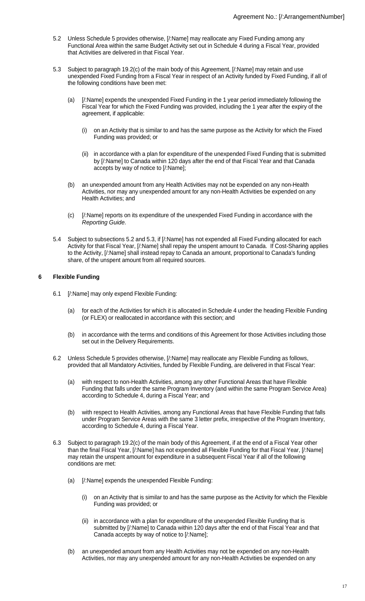- 5.2 Unless Schedule 5 provides otherwise, [/:Name] may reallocate any Fixed Funding among any Functional Area within the same Budget Activity set out in Schedule 4 during a Fiscal Year, provided that Activities are delivered in that Fiscal Year.
- 5.3 Subject to paragraph 19.2(c) of the main body of this Agreement, [/:Name] may retain and use unexpended Fixed Funding from a Fiscal Year in respect of an Activity funded by Fixed Funding, if all of the following conditions have been met:
	- (a) [/:Name] expends the unexpended Fixed Funding in the 1 year period immediately following the Fiscal Year for which the Fixed Funding was provided, including the 1 year after the expiry of the agreement, if applicable:
		- (i) on an Activity that is similar to and has the same purpose as the Activity for which the Fixed Funding was provided; or
		- (ii) in accordance with a plan for expenditure of the unexpended Fixed Funding that is submitted by [/:Name] to Canada within 120 days after the end of that Fiscal Year and that Canada accepts by way of notice to [/:Name];
	- (b) an unexpended amount from any Health Activities may not be expended on any non-Health Activities, nor may any unexpended amount for any non-Health Activities be expended on any Health Activities; and
	- (c) [/:Name] reports on its expenditure of the unexpended Fixed Funding in accordance with the Reporting Guide.
- 5.4 Subject to subsections 5.2 and 5.3, if [/:Name] has not expended all Fixed Funding allocated for each Activity for that Fiscal Year, [/:Name] shall repay the unspent amount to Canada. If Cost-Sharing applies to the Activity, [/:Name] shall instead repay to Canada an amount, proportional to Canada's funding share, of the unspent amount from all required sources.

# **6 Flexible Funding**

- 6.1 [/:Name] may only expend Flexible Funding:
	- (a) for each of the Activities for which it is allocated in Schedule 4 under the heading Flexible Funding (or FLEX) or reallocated in accordance with this section; and
	- (b) in accordance with the terms and conditions of this Agreement for those Activities including those set out in the Delivery Requirements.
- 6.2 Unless Schedule 5 provides otherwise, [/:Name] may reallocate any Flexible Funding as follows, provided that all Mandatory Activities, funded by Flexible Funding, are delivered in that Fiscal Year:
	- (a) with respect to non-Health Activities, among any other Functional Areas that have Flexible Funding that falls under the same Program Inventory (and within the same Program Service Area) according to Schedule 4, during a Fiscal Year; and
	- (b) with respect to Health Activities, among any Functional Areas that have Flexible Funding that falls under Program Service Areas with the same 3 letter prefix, irrespective of the Program Inventory, according to Schedule 4, during a Fiscal Year.
- 6.3 Subject to paragraph 19.2(c) of the main body of this Agreement, if at the end of a Fiscal Year other than the final Fiscal Year, [/:Name] has not expended all Flexible Funding for that Fiscal Year, [/:Name] may retain the unspent amount for expenditure in a subsequent Fiscal Year if all of the following conditions are met:
	- (a) [/:Name] expends the unexpended Flexible Funding:
		- (i) on an Activity that is similar to and has the same purpose as the Activity for which the Flexible Funding was provided; or
		- (ii) in accordance with a plan for expenditure of the unexpended Flexible Funding that is submitted by [/:Name] to Canada within 120 days after the end of that Fiscal Year and that Canada accepts by way of notice to [/:Name];
	- (b) an unexpended amount from any Health Activities may not be expended on any non-Health Activities, nor may any unexpended amount for any non-Health Activities be expended on any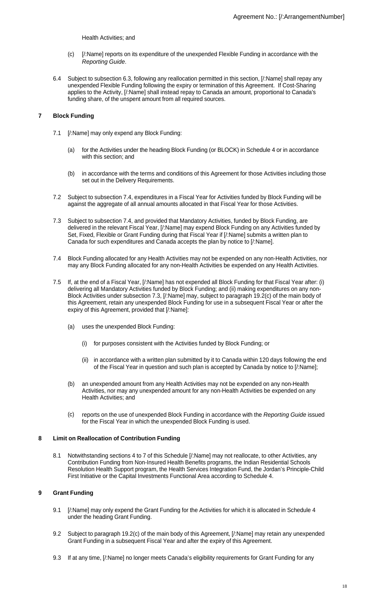Health Activities; and

- (c) [/:Name] reports on its expenditure of the unexpended Flexible Funding in accordance with the Reporting Guide.
- 6.4 Subject to subsection 6.3, following any reallocation permitted in this section, [/:Name] shall repay any unexpended Flexible Funding following the expiry or termination of this Agreement. If Cost-Sharing applies to the Activity, [/:Name] shall instead repay to Canada an amount, proportional to Canada's funding share, of the unspent amount from all required sources.

# **7 Block Funding**

- 7.1 [/:Name] may only expend any Block Funding:
	- (a) for the Activities under the heading Block Funding (or BLOCK) in Schedule 4 or in accordance with this section; and
	- (b) in accordance with the terms and conditions of this Agreement for those Activities including those set out in the Delivery Requirements.
- 7.2 Subject to subsection 7.4, expenditures in a Fiscal Year for Activities funded by Block Funding will be against the aggregate of all annual amounts allocated in that Fiscal Year for those Activities.
- 7.3 Subject to subsection 7.4, and provided that Mandatory Activities, funded by Block Funding, are delivered in the relevant Fiscal Year, [/:Name] may expend Block Funding on any Activities funded by Set, Fixed, Flexible or Grant Funding during that Fiscal Year if [/:Name] submits a written plan to Canada for such expenditures and Canada accepts the plan by notice to [/:Name].
- 7.4 Block Funding allocated for any Health Activities may not be expended on any non-Health Activities, nor may any Block Funding allocated for any non-Health Activities be expended on any Health Activities.
- 7.5 If, at the end of a Fiscal Year, [/:Name] has not expended all Block Funding for that Fiscal Year after: (i) delivering all Mandatory Activities funded by Block Funding; and (ii) making expenditures on any non-Block Activities under subsection 7.3, [/:Name] may, subject to paragraph 19.2(c) of the main body of this Agreement, retain any unexpended Block Funding for use in a subsequent Fiscal Year or after the expiry of this Agreement, provided that [/:Name]:
	- (a) uses the unexpended Block Funding:
		- (i) for purposes consistent with the Activities funded by Block Funding; or
		- (ii) in accordance with a written plan submitted by it to Canada within 120 days following the end of the Fiscal Year in question and such plan is accepted by Canada by notice to [/:Name];
	- (b) an unexpended amount from any Health Activities may not be expended on any non-Health Activities, nor may any unexpended amount for any non-Health Activities be expended on any Health Activities; and
	- (c) reports on the use of unexpended Block Funding in accordance with the Reporting Guide issued for the Fiscal Year in which the unexpended Block Funding is used.

## **8 Limit on Reallocation of Contribution Funding**

8.1 Notwithstanding sections 4 to 7 of this Schedule [/:Name] may not reallocate, to other Activities, any Contribution Funding from Non-Insured Health Benefits programs, the Indian Residential Schools Resolution Health Support program, the Health Services Integration Fund, the Jordan's Principle-Child First Initiative or the Capital Investments Functional Area according to Schedule 4.

## **9 Grant Funding**

- 9.1 [/:Name] may only expend the Grant Funding for the Activities for which it is allocated in Schedule 4 under the heading Grant Funding.
- 9.2 Subject to paragraph 19.2(c) of the main body of this Agreement, [/:Name] may retain any unexpended Grant Funding in a subsequent Fiscal Year and after the expiry of this Agreement.
- 9.3 If at any time, [/:Name] no longer meets Canada's eligibility requirements for Grant Funding for any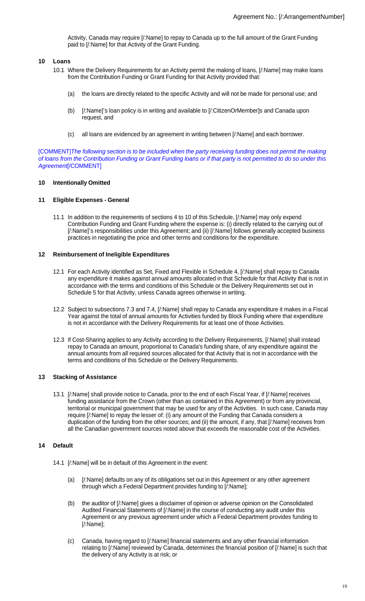Activity, Canada may require [/:Name] to repay to Canada up to the full amount of the Grant Funding paid to [/:Name] for that Activity of the Grant Funding.

#### **10 Loans**

- 10.1 Where the Delivery Requirements for an Activity permit the making of loans, [/:Name] may make loans from the Contribution Funding or Grant Funding for that Activity provided that:
	- (a) the loans are directly related to the specific Activity and will not be made for personal use; and
	- (b) [/:Name]'s loan policy is in writing and available to [/:CitizenOrMember]s and Canada upon request, and
	- (c) all loans are evidenced by an agreement in writing between [/:Name] and each borrower.

[COMMENT]The following section is to be included when the party receiving funding does not permit the making of loans from the Contribution Funding or Grant Funding loans or if that party is not permitted to do so under this Agreement[/COMMENT]

# **10 Intentionally Omitted**

#### **11 Eligible Expenses - General**

11.1 In addition to the requirements of sections 4 to 10 of this Schedule, [/:Name] may only expend Contribution Funding and Grant Funding where the expense is: (i) directly related to the carrying out of [/:Name]'s responsibilities under this Agreement; and (ii) [/:Name] follows generally accepted business practices in negotiating the price and other terms and conditions for the expenditure.

#### **12 Reimbursement of Ineligible Expenditures**

- 12.1 For each Activity identified as Set, Fixed and Flexible in Schedule 4, [/:Name] shall repay to Canada any expenditure it makes against annual amounts allocated in that Schedule for that Activity that is not in accordance with the terms and conditions of this Schedule or the Delivery Requirements set out in Schedule 5 for that Activity, unless Canada agrees otherwise in writing.
- 12.2 Subject to subsections 7.3 and 7.4, [/:Name] shall repay to Canada any expenditure it makes in a Fiscal Year against the total of annual amounts for Activities funded by Block Funding where that expenditure is not in accordance with the Delivery Requirements for at least one of those Activities.
- 12.3 If Cost-Sharing applies to any Activity according to the Delivery Requirements, [/:Name] shall instead repay to Canada an amount, proportional to Canada's funding share, of any expenditure against the annual amounts from all required sources allocated for that Activity that is not in accordance with the terms and conditions of this Schedule or the Delivery Requirements.

## **13 Stacking of Assistance**

13.1 [/:Name] shall provide notice to Canada, prior to the end of each Fiscal Year, if [/:Name] receives funding assistance from the Crown (other than as contained in this Agreement) or from any provincial, territorial or municipal government that may be used for any of the Activities. In such case, Canada may require [/:Name] to repay the lesser of: (i) any amount of the Funding that Canada considers a duplication of the funding from the other sources; and (ii) the amount, if any, that [/:Name] receives from all the Canadian government sources noted above that exceeds the reasonable cost of the Activities.

## **14 Default**

- 14.1 [/:Name] will be in default of this Agreement in the event:
	- (a) [/:Name] defaults on any of its obligations set out in this Agreement or any other agreement through which a Federal Department provides funding to [/:Name];
	- (b) the auditor of [/:Name] gives a disclaimer of opinion or adverse opinion on the Consolidated Audited Financial Statements of [/:Name] in the course of conducting any audit under this Agreement or any previous agreement under which a Federal Department provides funding to [/:Name];
	- (c) Canada, having regard to [/:Name] financial statements and any other financial information relating to [/:Name] reviewed by Canada, determines the financial position of [/:Name] is such that the delivery of any Activity is at risk; or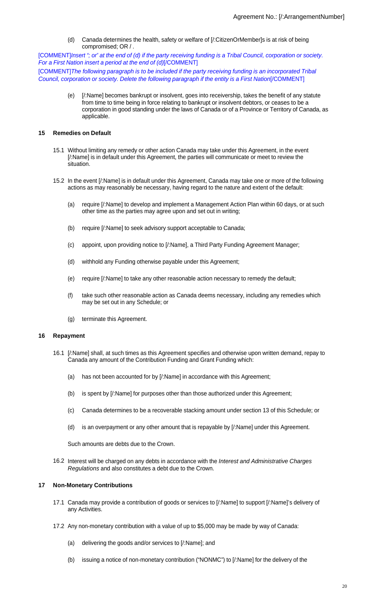(d) Canada determines the health, safety or welfare of [/:CitizenOrMember]s is at risk of being compromised; OR / .

[COMMENT]Insert "; or" at the end of (d) if the party receiving funding is a Tribal Council, corporation or society. For a First Nation insert a period at the end of (d)[/COMMENT]

[COMMENT]The following paragraph is to be included if the party receiving funding is an incorporated Tribal Council, corporation or society. Delete the following paragraph if the entity is a First Nation[/COMMENT]

> (e) [/:Name] becomes bankrupt or insolvent, goes into receivership, takes the benefit of any statute from time to time being in force relating to bankrupt or insolvent debtors, or ceases to be a corporation in good standing under the laws of Canada or of a Province or Territory of Canada, as applicable.

#### **15 Remedies on Default**

- 15.1 Without limiting any remedy or other action Canada may take under this Agreement, in the event [/:Name] is in default under this Agreement, the parties will communicate or meet to review the situation.
- 15.2 In the event [/:Name] is in default under this Agreement, Canada may take one or more of the following actions as may reasonably be necessary, having regard to the nature and extent of the default:
	- (a) require [/:Name] to develop and implement a Management Action Plan within 60 days, or at such other time as the parties may agree upon and set out in writing;
	- (b) require [/:Name] to seek advisory support acceptable to Canada;
	- (c) appoint, upon providing notice to [/:Name], a Third Party Funding Agreement Manager;
	- (d) withhold any Funding otherwise payable under this Agreement;
	- (e) require [/:Name] to take any other reasonable action necessary to remedy the default;
	- (f) take such other reasonable action as Canada deems necessary, including any remedies which may be set out in any Schedule; or
	- (g) terminate this Agreement.

#### **16 Repayment**

- 16.1 [/:Name] shall, at such times as this Agreement specifies and otherwise upon written demand, repay to Canada any amount of the Contribution Funding and Grant Funding which:
	- (a) has not been accounted for by [/:Name] in accordance with this Agreement;
	- (b) is spent by [/:Name] for purposes other than those authorized under this Agreement;
	- (c) Canada determines to be a recoverable stacking amount under section 13 of this Schedule; or
	- (d) is an overpayment or any other amount that is repayable by [/:Name] under this Agreement.

Such amounts are debts due to the Crown.

16.2 Interest will be charged on any debts in accordance with the Interest and Administrative Charges Regulations and also constitutes a debt due to the Crown.

## **17 Non-Monetary Contributions**

- 17.1 Canada may provide a contribution of goods or services to [/:Name] to support [/:Name]'s delivery of any Activities.
- 17.2 Any non-monetary contribution with a value of up to \$5,000 may be made by way of Canada:
	- (a) delivering the goods and/or services to [/:Name]; and
	- (b) issuing a notice of non-monetary contribution ("NONMC") to [/:Name] for the delivery of the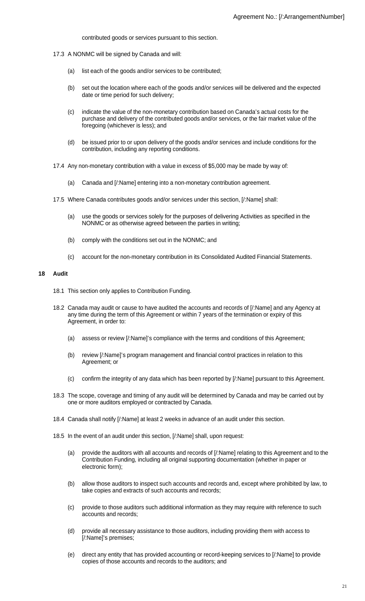contributed goods or services pursuant to this section.

- 17.3 A NONMC will be signed by Canada and will:
	- (a) list each of the goods and/or services to be contributed;
	- (b) set out the location where each of the goods and/or services will be delivered and the expected date or time period for such delivery;
	- (c) indicate the value of the non-monetary contribution based on Canada's actual costs for the purchase and delivery of the contributed goods and/or services, or the fair market value of the foregoing (whichever is less); and
	- (d) be issued prior to or upon delivery of the goods and/or services and include conditions for the contribution, including any reporting conditions.
- 17.4 Any non-monetary contribution with a value in excess of \$5,000 may be made by way of:
	- (a) Canada and [/:Name] entering into a non-monetary contribution agreement.
- 17.5 Where Canada contributes goods and/or services under this section, [/:Name] shall:
	- (a) use the goods or services solely for the purposes of delivering Activities as specified in the NONMC or as otherwise agreed between the parties in writing;
	- (b) comply with the conditions set out in the NONMC; and
	- (c) account for the non-monetary contribution in its Consolidated Audited Financial Statements.

#### **18 Audit**

- 18.1 This section only applies to Contribution Funding.
- 18.2 Canada may audit or cause to have audited the accounts and records of [/:Name] and any Agency at any time during the term of this Agreement or within 7 years of the termination or expiry of this Agreement, in order to:
	- (a) assess or review [/:Name]'s compliance with the terms and conditions of this Agreement;
	- (b) review [/:Name]'s program management and financial control practices in relation to this Agreement; or
	- (c) confirm the integrity of any data which has been reported by [/:Name] pursuant to this Agreement.
- 18.3 The scope, coverage and timing of any audit will be determined by Canada and may be carried out by one or more auditors employed or contracted by Canada.
- 18.4 Canada shall notify [/:Name] at least 2 weeks in advance of an audit under this section.
- 18.5 In the event of an audit under this section, [/:Name] shall, upon request:
	- (a) provide the auditors with all accounts and records of [/:Name] relating to this Agreement and to the Contribution Funding, including all original supporting documentation (whether in paper or electronic form);
	- (b) allow those auditors to inspect such accounts and records and, except where prohibited by law, to take copies and extracts of such accounts and records;
	- (c) provide to those auditors such additional information as they may require with reference to such accounts and records;
	- (d) provide all necessary assistance to those auditors, including providing them with access to [/:Name]'s premises;
	- (e) direct any entity that has provided accounting or record-keeping services to [/:Name] to provide copies of those accounts and records to the auditors; and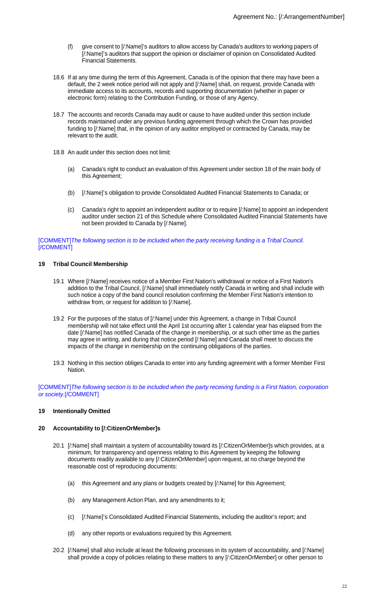- (f) give consent to [/:Name]'s auditors to allow access by Canada's auditors to working papers of [/:Name]'s auditors that support the opinion or disclaimer of opinion on Consolidated Audited Financial Statements.
- 18.6 If at any time during the term of this Agreement, Canada is of the opinion that there may have been a default, the 2 week notice period will not apply and [/:Name] shall, on request, provide Canada with immediate access to its accounts, records and supporting documentation (whether in paper or electronic form) relating to the Contribution Funding, or those of any Agency.
- 18.7 The accounts and records Canada may audit or cause to have audited under this section include records maintained under any previous funding agreement through which the Crown has provided funding to [/:Name] that, in the opinion of any auditor employed or contracted by Canada, may be relevant to the audit.
- 18.8 An audit under this section does not limit:
	- (a) Canada's right to conduct an evaluation of this Agreement under section 18 of the main body of this Agreement;
	- (b) [/:Name]'s obligation to provide Consolidated Audited Financial Statements to Canada; or
	- (c) Canada's right to appoint an independent auditor or to require [/:Name] to appoint an independent auditor under section 21 of this Schedule where Consolidated Audited Financial Statements have not been provided to Canada by [/:Name].

[COMMENT]The following section is to be included when the party receiving funding is a Tribal Council. [/COMMENT]

## **19 Tribal Council Membership**

- 19.1 Where [/:Name] receives notice of a Member First Nation's withdrawal or notice of a First Nation's addition to the Tribal Council, [/:Name] shall immediately notify Canada in writing and shall include with such notice a copy of the band council resolution confirming the Member First Nation's intention to withdraw from, or request for addition to [/:Name].
- 19.2 For the purposes of the status of [/:Name] under this Agreement, a change in Tribal Council membership will not take effect until the April 1st occurring after 1 calendar year has elapsed from the date [/:Name] has notified Canada of the change in membership, or at such other time as the parties may agree in writing, and during that notice period [/:Name] and Canada shall meet to discuss the impacts of the change in membership on the continuing obligations of the parties.
- 19.3 Nothing in this section obliges Canada to enter into any funding agreement with a former Member First Nation.

[COMMENT]The following section is to be included when the party receiving funding is a First Nation, corporation or society.[/COMMENT]

## **19 Intentionally Omitted**

#### **20 Accountability to [/:CitizenOrMember]s**

- 20.1 [/:Name] shall maintain a system of accountability toward its [/:CitizenOrMember]s which provides, at a minimum, for transparency and openness relating to this Agreement by keeping the following documents readily available to any [/:CitizenOrMember] upon request, at no charge beyond the reasonable cost of reproducing documents:
	- (a) this Agreement and any plans or budgets created by [/:Name] for this Agreement;
	- (b) any Management Action Plan, and any amendments to it;
	- (c) [/:Name]'s Consolidated Audited Financial Statements, including the auditor's report; and
	- (d) any other reports or evaluations required by this Agreement.
- 20.2 [/:Name] shall also include at least the following processes in its system of accountability, and [/:Name] shall provide a copy of policies relating to these matters to any [/:CitizenOrMember] or other person to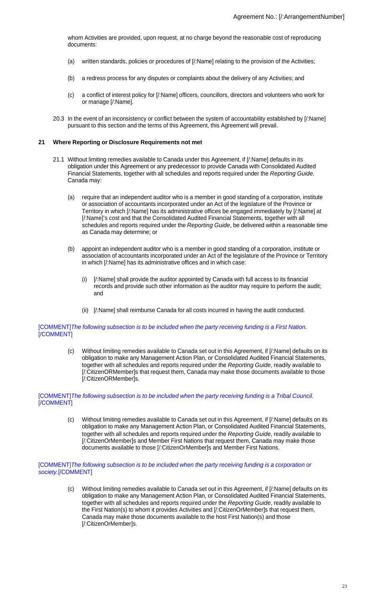whom Activities are provided, upon request, at no charge beyond the reasonable cost of reproducing documents:

- (a) written standards, policies or procedures of [/:Name] relating to the provision of the Activities;
- (b) a redress process for any disputes or complaints about the delivery of any Activities; and
- (c) a conflict of interest policy for [/:Name] officers, councillors, directors and volunteers who work for or manage [/:Name].
- 20.3 In the event of an inconsistency or conflict between the system of accountability established by [/:Name] pursuant to this section and the terms of this Agreement, this Agreement will prevail.

#### **21 Where Reporting or Disclosure Requirements not met**

- 21.1 Without limiting remedies available to Canada under this Agreement, if [/:Name] defaults in its obligation under this Agreement or any predecessor to provide Canada with Consolidated Audited Financial Statements, together with all schedules and reports required under the Reporting Guide, Canada may:
	- (a) require that an independent auditor who is a member in good standing of a corporation, institute or association of accountants incorporated under an Act of the legislature of the Province or Territory in which [/:Name] has its administrative offices be engaged immediately by [/:Name] at [/:Name]'s cost and that the Consolidated Audited Financial Statements, together with all schedules and reports required under the Reporting Guide, be delivered within a reasonable time as Canada may determine; or
	- (b) appoint an independent auditor who is a member in good standing of a corporation, institute or association of accountants incorporated under an Act of the legislature of the Province or Territory in which [/:Name] has its administrative offices and in which case:
		- (i) [/:Name] shall provide the auditor appointed by Canada with full access to its financial records and provide such other information as the auditor may require to perform the audit; and
		- (ii) [/:Name] shall reimburse Canada for all costs incurred in having the audit conducted.

#### [COMMENT]The following subsection is to be included when the party receiving funding is a First Nation. [/COMMENT]

(c) Without limiting remedies available to Canada set out in this Agreement, if [/:Name] defaults on its obligation to make any Management Action Plan, or Consolidated Audited Financial Statements, together with all schedules and reports required under the Reporting Guide, readily available to [/:CitizenORMember]s that request them, Canada may make those documents available to those [/:CitizenORMember]s.

#### [COMMENT]The following subsection is to be included when the party receiving funding is a Tribal Council. [/COMMENT]

(c) Without limiting remedies available to Canada set out in this Agreement, if [/:Name] defaults on its obligation to make any Management Action Plan, or Consolidated Audited Financial Statements, together with all schedules and reports required under the Reporting Guide, readily available to [/:CitizenOrMember]s and Member First Nations that request them, Canada may make those documents available to those [/:CitizenOrMember]s and Member First Nations.

#### [COMMENT]The following subsection is to be included when the party receiving funding is a corporation or society.[/COMMENT]

(c) Without limiting remedies available to Canada set out in this Agreement, if [/:Name] defaults on its obligation to make any Management Action Plan, or Consolidated Audited Financial Statements, together with all schedules and reports required under the Reporting Guide, readily available to the First Nation(s) to whom it provides Activities and [/:CitizenOrMember]s that request them, Canada may make those documents available to the host First Nation(s) and those [/:CitizenOrMember]s.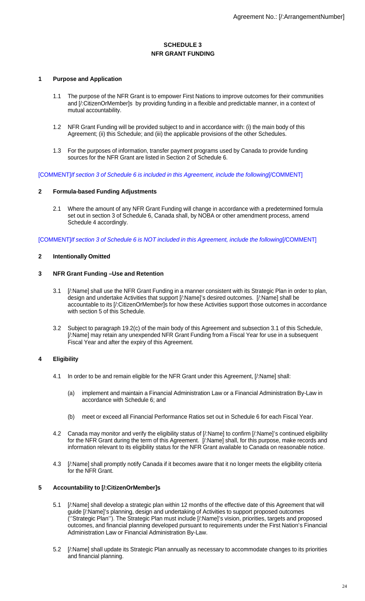# **SCHEDULE 3 NFR GRANT FUNDING**

## **1 Purpose and Application**

- 1.1 The purpose of the NFR Grant is to empower First Nations to improve outcomes for their communities and [/:CitizenOrMember]s by providing funding in a flexible and predictable manner, in a context of mutual accountability.
- 1.2 NFR Grant Funding will be provided subject to and in accordance with: (i) the main body of this Agreement; (ii) this Schedule; and (iii) the applicable provisions of the other Schedules.
- 1.3 For the purposes of information, transfer payment programs used by Canada to provide funding sources for the NFR Grant are listed in Section 2 of Schedule 6.

[COMMENT]If section 3 of Schedule 6 is included in this Agreement, include the following[/COMMENT]

## **2 Formula-based Funding Adjustments**

2.1 Where the amount of any NFR Grant Funding will change in accordance with a predetermined formula set out in section 3 of Schedule 6, Canada shall, by NOBA or other amendment process, amend Schedule 4 accordingly.

[COMMENT]If section 3 of Schedule 6 is NOT included in this Agreement, include the following[/COMMENT]

## **2 Intentionally Omitted**

#### **3 NFR Grant Funding –Use and Retention**

- 3.1 [/:Name] shall use the NFR Grant Funding in a manner consistent with its Strategic Plan in order to plan, design and undertake Activities that support [/:Name]'s desired outcomes. [/:Name] shall be accountable to its [/:CitizenOrMember]s for how these Activities support those outcomes in accordance with section 5 of this Schedule.
- 3.2 Subject to paragraph 19.2(c) of the main body of this Agreement and subsection 3.1 of this Schedule, [/:Name] may retain any unexpended NFR Grant Funding from a Fiscal Year for use in a subsequent Fiscal Year and after the expiry of this Agreement.

## **4 Eligibility**

- 4.1 In order to be and remain eligible for the NFR Grant under this Agreement, [/:Name] shall:
	- (a) implement and maintain a Financial Administration Law or a Financial Administration By-Law in accordance with Schedule 6; and
	- (b) meet or exceed all Financial Performance Ratios set out in Schedule 6 for each Fiscal Year.
- 4.2 Canada may monitor and verify the eligibility status of [/:Name] to confirm [/:Name]'s continued eligibility for the NFR Grant during the term of this Agreement. [/:Name] shall, for this purpose, make records and information relevant to its eligibility status for the NFR Grant available to Canada on reasonable notice.
- 4.3 [/:Name] shall promptly notify Canada if it becomes aware that it no longer meets the eligibility criteria for the NFR Grant.

# **5 Accountability to [/:CitizenOrMember]s**

- 5.1 [/:Name] shall develop a strategic plan within 12 months of the effective date of this Agreement that will guide [/:Name]'s planning, design and undertaking of Activities to support proposed outcomes (''Strategic Plan''). The Strategic Plan must include [/:Name]'s vision, priorities, targets and proposed outcomes, and financial planning developed pursuant to requirements under the First Nation's Financial Administration Law or Financial Administration By-Law.
- 5.2 [/:Name] shall update its Strategic Plan annually as necessary to accommodate changes to its priorities and financial planning.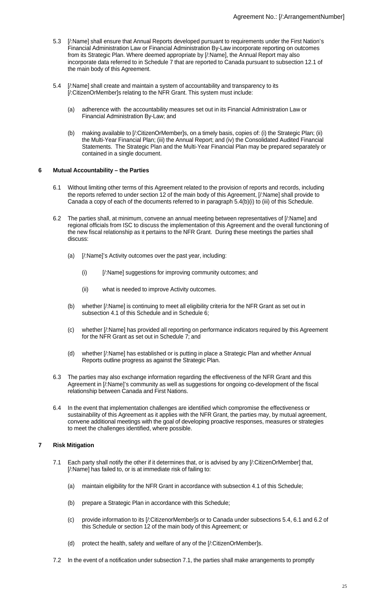- 5.3 [/:Name] shall ensure that Annual Reports developed pursuant to requirements under the First Nation's Financial Administration Law or Financial Administration By-Law incorporate reporting on outcomes from its Strategic Plan. Where deemed appropriate by [/:Name], the Annual Report may also incorporate data referred to in Schedule 7 that are reported to Canada pursuant to subsection 12.1 of the main body of this Agreement.
- 5.4 [/:Name] shall create and maintain a system of accountability and transparency to its [/:CitizenOrMember]s relating to the NFR Grant. This system must include:
	- (a) adherence with the accountability measures set out in its Financial Administration Law or Financial Administration By-Law; and
	- (b) making available to [/:CitizenOrMember]s, on a timely basis, copies of: (i) the Strategic Plan; (ii) the Multi-Year Financial Plan; (iii) the Annual Report; and (iv) the Consolidated Audited Financial Statements. The Strategic Plan and the Multi-Year Financial Plan may be prepared separately or contained in a single document.

## **6 Mutual Accountability – the Parties**

- 6.1 Without limiting other terms of this Agreement related to the provision of reports and records, including the reports referred to under section 12 of the main body of this Agreement, [/:Name] shall provide to Canada a copy of each of the documents referred to in paragraph 5.4(b)(i) to (iii) of this Schedule.
- 6.2 The parties shall, at minimum, convene an annual meeting between representatives of [/:Name] and regional officials from ISC to discuss the implementation of this Agreement and the overall functioning of the new fiscal relationship as it pertains to the NFR Grant. During these meetings the parties shall discuss:
	- (a) [/:Name]'s Activity outcomes over the past year, including:
		- (i) [/:Name] suggestions for improving community outcomes; and
		- (ii) what is needed to improve Activity outcomes.
	- (b) whether [/:Name] is continuing to meet all eligibility criteria for the NFR Grant as set out in subsection 4.1 of this Schedule and in Schedule 6;
	- (c) whether [/:Name] has provided all reporting on performance indicators required by this Agreement for the NFR Grant as set out in Schedule 7; and
	- (d) whether [/:Name] has established or is putting in place a Strategic Plan and whether Annual Reports outline progress as against the Strategic Plan.
- 6.3 The parties may also exchange information regarding the effectiveness of the NFR Grant and this Agreement in [/:Name]'s community as well as suggestions for ongoing co-development of the fiscal relationship between Canada and First Nations.
- 6.4 In the event that implementation challenges are identified which compromise the effectiveness or sustainability of this Agreement as it applies with the NFR Grant, the parties may, by mutual agreement, convene additional meetings with the goal of developing proactive responses, measures or strategies to meet the challenges identified, where possible.

## **7 Risk Mitigation**

- 7.1 Each party shall notify the other if it determines that, or is advised by any [/:CitizenOrMember] that, [/:Name] has failed to, or is at immediate risk of failing to:
	- (a) maintain eligibility for the NFR Grant in accordance with subsection 4.1 of this Schedule;
	- (b) prepare a Strategic Plan in accordance with this Schedule;
	- (c) provide information to its [/:CitizenorMember]s or to Canada under subsections 5.4, 6.1 and 6.2 of this Schedule or section 12 of the main body of this Agreement; or
	- (d) protect the health, safety and welfare of any of the [/:CitizenOrMember]s.
- 7.2 In the event of a notification under subsection 7.1, the parties shall make arrangements to promptly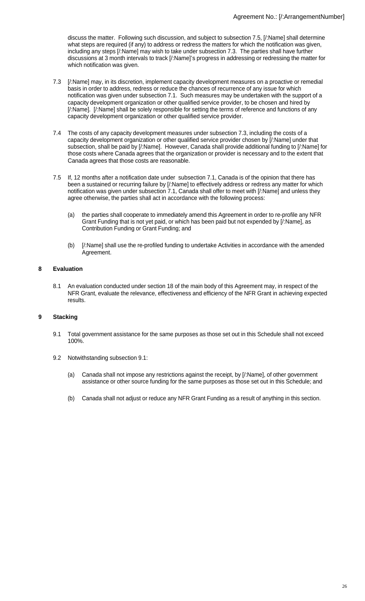discuss the matter. Following such discussion, and subject to subsection 7.5, [/:Name] shall determine what steps are required (if any) to address or redress the matters for which the notification was given, including any steps [/:Name] may wish to take under subsection 7.3. The parties shall have further discussions at 3 month intervals to track [/:Name]'s progress in addressing or redressing the matter for which notification was given.

- 7.3 [/:Name] may, in its discretion, implement capacity development measures on a proactive or remedial basis in order to address, redress or reduce the chances of recurrence of any issue for which notification was given under subsection 7.1. Such measures may be undertaken with the support of a capacity development organization or other qualified service provider, to be chosen and hired by [/:Name]. [/:Name] shall be solely responsible for setting the terms of reference and functions of any capacity development organization or other qualified service provider.
- 7.4 The costs of any capacity development measures under subsection 7.3, including the costs of a capacity development organization or other qualified service provider chosen by [/:Name] under that subsection, shall be paid by [/:Name]. However, Canada shall provide additional funding to [/:Name] for those costs where Canada agrees that the organization or provider is necessary and to the extent that Canada agrees that those costs are reasonable.
- 7.5 If, 12 months after a notification date under subsection 7.1, Canada is of the opinion that there has been a sustained or recurring failure by [/:Name] to effectively address or redress any matter for which notification was given under subsection 7.1, Canada shall offer to meet with [/:Name] and unless they agree otherwise, the parties shall act in accordance with the following process:
	- (a) the parties shall cooperate to immediately amend this Agreement in order to re-profile any NFR Grant Funding that is not yet paid, or which has been paid but not expended by [/:Name], as Contribution Funding or Grant Funding; and
	- (b) [/:Name] shall use the re-profiled funding to undertake Activities in accordance with the amended Agreement.

# **8 Evaluation**

8.1 An evaluation conducted under section 18 of the main body of this Agreement may, in respect of the NFR Grant, evaluate the relevance, effectiveness and efficiency of the NFR Grant in achieving expected results.

# **9 Stacking**

- 9.1 Total government assistance for the same purposes as those set out in this Schedule shall not exceed 100%.
- 9.2 Notwithstanding subsection 9.1:
	- (a) Canada shall not impose any restrictions against the receipt, by [/:Name], of other government assistance or other source funding for the same purposes as those set out in this Schedule; and
	- (b) Canada shall not adjust or reduce any NFR Grant Funding as a result of anything in this section.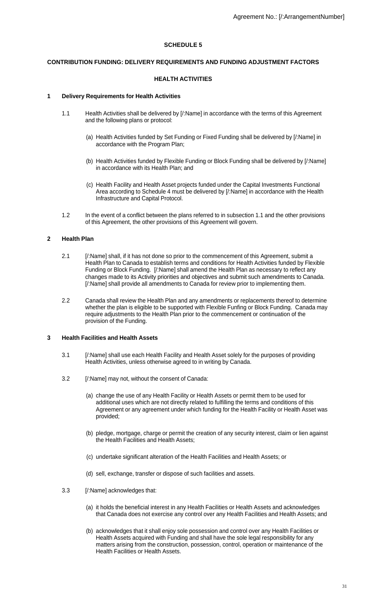# **SCHEDULE 5**

#### **CONTRIBUTION FUNDING: DELIVERY REQUIREMENTS AND FUNDING ADJUSTMENT FACTORS**

#### **HEALTH ACTIVITIES**

#### **1 Delivery Requirements for Health Activities**

- 1.1 Health Activities shall be delivered by [/:Name] in accordance with the terms of this Agreement and the following plans or protocol:
	- (a) Health Activities funded by Set Funding or Fixed Funding shall be delivered by [/:Name] in accordance with the Program Plan;
	- (b) Health Activities funded by Flexible Funding or Block Funding shall be delivered by [/:Name] in accordance with its Health Plan; and
	- (c) Health Facility and Health Asset projects funded under the Capital Investments Functional Area according to Schedule 4 must be delivered by [/:Name] in accordance with the Health Infrastructure and Capital Protocol.
- 1.2 In the event of a conflict between the plans referred to in subsection 1.1 and the other provisions of this Agreement, the other provisions of this Agreement will govern.

#### **2 Health Plan**

- 2.1 [/:Name] shall, if it has not done so prior to the commencement of this Agreement, submit a Health Plan to Canada to establish terms and conditions for Health Activities funded by Flexible Funding or Block Funding. [/:Name] shall amend the Health Plan as necessary to reflect any changes made to its Activity priorities and objectives and submit such amendments to Canada. [/:Name] shall provide all amendments to Canada for review prior to implementing them.
- 2.2 Canada shall review the Health Plan and any amendments or replacements thereof to determine whether the plan is eligible to be supported with Flexible Funfing or Block Funding. Canada may require adjustments to the Health Plan prior to the commencement or continuation of the provision of the Funding.

#### **3 Health Facilities and Health Assets**

- 3.1 [/:Name] shall use each Health Facility and Health Asset solely for the purposes of providing Health Activities, unless otherwise agreed to in writing by Canada.
- 3.2 [/:Name] may not, without the consent of Canada:
	- (a) change the use of any Health Facility or Health Assets or permit them to be used for additional uses which are not directly related to fulfilling the terms and conditions of this Agreement or any agreement under which funding for the Health Facility or Health Asset was provided;
	- (b) pledge, mortgage, charge or permit the creation of any security interest, claim or lien against the Health Facilities and Health Assets;
	- (c) undertake significant alteration of the Health Facilities and Health Assets; or
	- (d) sell, exchange, transfer or dispose of such facilities and assets.
- 3.3 [/:Name] acknowledges that:
	- (a) it holds the beneficial interest in any Health Facilities or Health Assets and acknowledges that Canada does not exercise any control over any Health Facilities and Health Assets; and
	- (b) acknowledges that it shall enjoy sole possession and control over any Health Facilities or Health Assets acquired with Funding and shall have the sole legal responsibility for any matters arising from the construction, possession, control, operation or maintenance of the Health Facilities or Health Assets.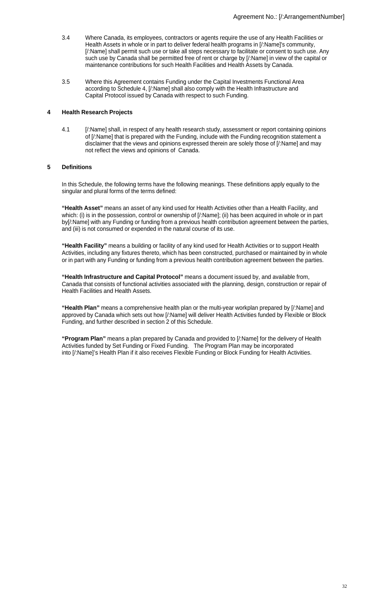- 3.4 Where Canada, its employees, contractors or agents require the use of any Health Facilities or Health Assets in whole or in part to deliver federal health programs in [/:Name]'s community, [/:Name] shall permit such use or take all steps necessary to facilitate or consent to such use. Any such use by Canada shall be permitted free of rent or charge by [/:Name] in view of the capital or maintenance contributions for such Health Facilities and Health Assets by Canada.
- 3.5 Where this Agreement contains Funding under the Capital Investments Functional Area according to Schedule 4, [/:Name] shall also comply with the Health Infrastructure and Capital Protocol issued by Canada with respect to such Funding.

#### **4 Health Research Projects**

4.1 [/:Name] shall, in respect of any health research study, assessment or report containing opinions of [/:Name] that is prepared with the Funding, include with the Funding recognition statement a disclaimer that the views and opinions expressed therein are solely those of [/:Name] and may not reflect the views and opinions of Canada.

## **5 Definitions**

In this Schedule, the following terms have the following meanings. These definitions apply equally to the singular and plural forms of the terms defined:

**"Health Asset"** means an asset of any kind used for Health Activities other than a Health Facility, and which: (i) is in the possession, control or ownership of [/:Name]; (ii) has been acquired in whole or in part by[/:Name] with any Funding or funding from a previous health contribution agreement between the parties, and (iii) is not consumed or expended in the natural course of its use.

**"Health Facility"** means a building or facility of any kind used for Health Activities or to support Health Activities, including any fixtures thereto, which has been constructed, purchased or maintained by in whole or in part with any Funding or funding from a previous health contribution agreement between the parties.

**"Health Infrastructure and Capital Protocol"** means a document issued by, and available from, Canada that consists of functional activities associated with the planning, design, construction or repair of Health Facilities and Health Assets.

**"Health Plan"** means a comprehensive health plan or the multi-year workplan prepared by [/:Name] and approved by Canada which sets out how [/:Name] will deliver Health Activities funded by Flexible or Block Funding, and further described in section 2 of this Schedule.

**"Program Plan"** means a plan prepared by Canada and provided to [/:Name] for the delivery of Health Activities funded by Set Funding or Fixed Funding. The Program Plan may be incorporated into [/:Name]'s Health Plan if it also receives Flexible Funding or Block Funding for Health Activities.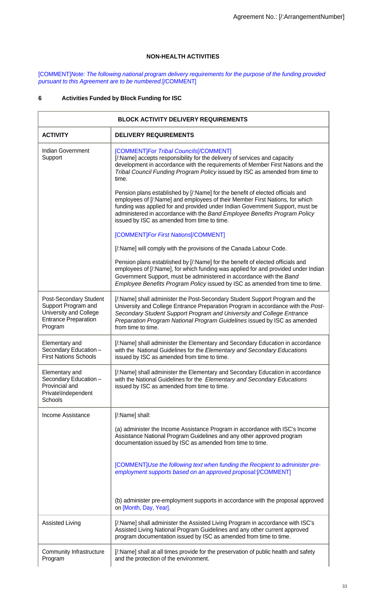# **NON-HEALTH ACTIVITIES**

[COMMENT]Note: The following national program delivery requirements for the purpose of the funding provided pursuant to this Agreement are to be numbered.[/COMMENT]

# **6 Activities Funded by Block Funding for ISC**

| <b>BLOCK ACTIVITY DELIVERY REQUIREMENTS</b>                                                                       |                                                                                                                                                                                                                                                                                                                                                                             |  |  |
|-------------------------------------------------------------------------------------------------------------------|-----------------------------------------------------------------------------------------------------------------------------------------------------------------------------------------------------------------------------------------------------------------------------------------------------------------------------------------------------------------------------|--|--|
| <b>ACTIVITY</b>                                                                                                   | <b>DELIVERY REQUIREMENTS</b>                                                                                                                                                                                                                                                                                                                                                |  |  |
| <b>Indian Government</b><br>Support                                                                               | [COMMENT]For Tribal Councils[/COMMENT]<br>[/:Name] accepts responsibility for the delivery of services and capacity<br>development in accordance with the requirements of Member First Nations and the<br>Tribal Council Funding Program Policy issued by ISC as amended from time to<br>time.                                                                              |  |  |
|                                                                                                                   | Pension plans established by [/:Name] for the benefit of elected officials and<br>employees of [/:Name] and employees of their Member First Nations, for which<br>funding was applied for and provided under Indian Government Support, must be<br>administered in accordance with the Band Employee Benefits Program Policy<br>issued by ISC as amended from time to time. |  |  |
|                                                                                                                   | [COMMENT]For First Nations[/COMMENT]                                                                                                                                                                                                                                                                                                                                        |  |  |
|                                                                                                                   | [/:Name] will comply with the provisions of the Canada Labour Code.                                                                                                                                                                                                                                                                                                         |  |  |
|                                                                                                                   | Pension plans established by [/:Name] for the benefit of elected officials and<br>employees of [/:Name], for which funding was applied for and provided under Indian<br>Government Support, must be administered in accordance with the Band<br>Employee Benefits Program Policy issued by ISC as amended from time to time.                                                |  |  |
| Post-Secondary Student<br>Support Program and<br>University and College<br><b>Entrance Preparation</b><br>Program | [/:Name] shall administer the Post-Secondary Student Support Program and the<br>University and College Entrance Preparation Program in accordance with the Post-<br>Secondary Student Support Program and University and College Entrance<br>Preparation Program National Program Guidelines issued by ISC as amended<br>from time to time.                                 |  |  |
| Elementary and<br>Secondary Education -<br><b>First Nations Schools</b>                                           | [/:Name] shall administer the Elementary and Secondary Education in accordance<br>with the National Guidelines for the Elementary and Secondary Educations<br>issued by ISC as amended from time to time.                                                                                                                                                                   |  |  |
| Elementary and<br>Secondary Education -<br>Provincial and<br>Private\Independent<br>Schools                       | [/:Name] shall administer the Elementary and Secondary Education in accordance<br>with the National Guidelines for the Elementary and Secondary Educations<br>issued by ISC as amended from time to time.                                                                                                                                                                   |  |  |
| Income Assistance                                                                                                 | [/:Name] shall:                                                                                                                                                                                                                                                                                                                                                             |  |  |
|                                                                                                                   | (a) administer the Income Assistance Program in accordance with ISC's Income<br>Assistance National Program Guidelines and any other approved program<br>documentation issued by ISC as amended from time to time.                                                                                                                                                          |  |  |
|                                                                                                                   | [COMMENT]Use the following text when funding the Recipient to administer pre-<br>employment supports based on an approved proposal:[/COMMENT]                                                                                                                                                                                                                               |  |  |
|                                                                                                                   | (b) administer pre-employment supports in accordance with the proposal approved<br>on [Month, Day, Year].                                                                                                                                                                                                                                                                   |  |  |
| <b>Assisted Living</b>                                                                                            | [/:Name] shall administer the Assisted Living Program in accordance with ISC's<br>Assisted Living National Program Guidelines and any other current approved<br>program documentation issued by ISC as amended from time to time.                                                                                                                                           |  |  |
| Community Infrastructure<br>Program                                                                               | [/:Name] shall at all times provide for the preservation of public health and safety<br>and the protection of the environment.                                                                                                                                                                                                                                              |  |  |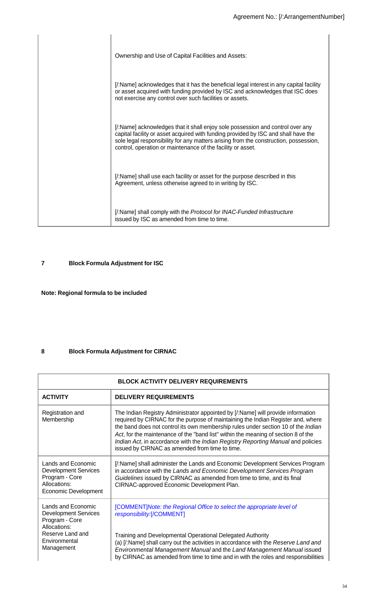| Ownership and Use of Capital Facilities and Assets:                                                                                                                                                                                                                                                                        |
|----------------------------------------------------------------------------------------------------------------------------------------------------------------------------------------------------------------------------------------------------------------------------------------------------------------------------|
| [/:Name] acknowledges that it has the beneficial legal interest in any capital facility<br>or asset acquired with funding provided by ISC and acknowledges that ISC does<br>not exercise any control over such facilities or assets.                                                                                       |
| [:Name] acknowledges that it shall enjoy sole possession and control over any<br>capital facility or asset acquired with funding provided by ISC and shall have the<br>sole legal responsibility for any matters arising from the construction, possession,<br>control, operation or maintenance of the facility or asset. |
| [/:Name] shall use each facility or asset for the purpose described in this<br>Agreement, unless otherwise agreed to in writing by ISC.                                                                                                                                                                                    |
| [/:Name] shall comply with the Protocol for INAC-Funded Infrastructure<br>issued by ISC as amended from time to time.                                                                                                                                                                                                      |

# **7 Block Formula Adjustment for ISC**

# **Note: Regional formula to be included**

# **8 Block Formula Adjustment for CIRNAC**

| <b>BLOCK ACTIVITY DELIVERY REQUIREMENTS</b>                                                                        |                                                                                                                                                                                                                                                                                                                                                                                                                                                                                       |  |  |
|--------------------------------------------------------------------------------------------------------------------|---------------------------------------------------------------------------------------------------------------------------------------------------------------------------------------------------------------------------------------------------------------------------------------------------------------------------------------------------------------------------------------------------------------------------------------------------------------------------------------|--|--|
| <b>ACTIVITY</b>                                                                                                    | <b>DELIVERY REQUIREMENTS</b>                                                                                                                                                                                                                                                                                                                                                                                                                                                          |  |  |
| Registration and<br>Membership                                                                                     | The Indian Registry Administrator appointed by [/:Name] will provide information<br>required by CIRNAC for the purpose of maintaining the Indian Register and, where<br>the band does not control its own membership rules under section 10 of the Indian<br>Act, for the maintenance of the "band list" within the meaning of section 8 of the<br>Indian Act, in accordance with the Indian Registry Reporting Manual and policies<br>issued by CIRNAC as amended from time to time. |  |  |
| Lands and Economic<br><b>Development Services</b><br>Program - Core<br>Allocations:<br><b>Economic Development</b> | [/:Name] shall administer the Lands and Economic Development Services Program<br>in accordance with the Lands and Economic Development Services Program<br>Guidelines issued by CIRNAC as amended from time to time, and its final<br>CIRNAC-approved Economic Development Plan.                                                                                                                                                                                                      |  |  |
| Lands and Economic<br><b>Development Services</b><br>Program - Core<br>Allocations:<br>Reserve Land and            | [COMMENT]Note: the Regional Office to select the appropriate level of<br>responsibility:[/COMMENT]                                                                                                                                                                                                                                                                                                                                                                                    |  |  |
| Environmental<br>Management                                                                                        | Training and Developmental Operational Delegated Authority<br>(a) [/:Name] shall carry out the activities in accordance with the Reserve Land and<br>Environmental Management Manual and the Land Management Manual issued<br>by CIRNAC as amended from time to time and in with the roles and responsibilities                                                                                                                                                                       |  |  |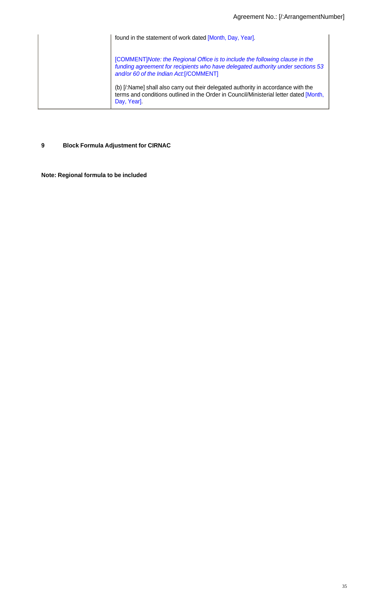| found in the statement of work dated [Month, Day, Year].                                                                                                                                                   |
|------------------------------------------------------------------------------------------------------------------------------------------------------------------------------------------------------------|
| [COMMENT] Note: the Regional Office is to include the following clause in the<br>funding agreement for recipients who have delegated authority under sections 53<br>and/or 60 of the Indian Act:[/COMMENT] |
| (b) [/:Name] shall also carry out their delegated authority in accordance with the<br>terms and conditions outlined in the Order in Council/Ministerial letter dated [Month,<br>Day, Year]                 |

# **9 Block Formula Adjustment for CIRNAC**

**Note: Regional formula to be included**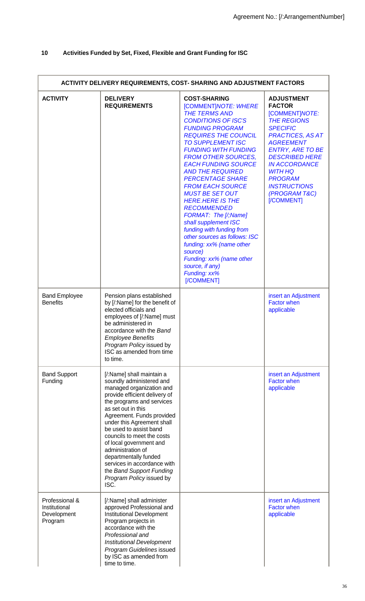# **10 Activities Funded by Set, Fixed, Flexible and Grant Funding for ISC**

| ACTIVITY DELIVERY REQUIREMENTS, COST- SHARING AND ADJUSTMENT FACTORS |                                                                                                                                                                                                                                                                                                                                                                                                                                                                  |                                                                                                                                                                                                                                                                                                                                                                                                                                                                                                                                                                                                                                                                                 |                                                                                                                                                                                                                                                                                                                     |
|----------------------------------------------------------------------|------------------------------------------------------------------------------------------------------------------------------------------------------------------------------------------------------------------------------------------------------------------------------------------------------------------------------------------------------------------------------------------------------------------------------------------------------------------|---------------------------------------------------------------------------------------------------------------------------------------------------------------------------------------------------------------------------------------------------------------------------------------------------------------------------------------------------------------------------------------------------------------------------------------------------------------------------------------------------------------------------------------------------------------------------------------------------------------------------------------------------------------------------------|---------------------------------------------------------------------------------------------------------------------------------------------------------------------------------------------------------------------------------------------------------------------------------------------------------------------|
| <b>ACTIVITY</b>                                                      | <b>DELIVERY</b><br><b>REQUIREMENTS</b>                                                                                                                                                                                                                                                                                                                                                                                                                           | <b>COST-SHARING</b><br>[COMMENT]NOTE: WHERE<br><b>THE TERMS AND</b><br><b>CONDITIONS OF ISC'S</b><br><b>FUNDING PROGRAM</b><br><b>REQUIRES THE COUNCIL</b><br><b>TO SUPPLEMENT ISC</b><br><b>FUNDING WITH FUNDING</b><br><b>FROM OTHER SOURCES,</b><br><b>EACH FUNDING SOURCE</b><br><b>AND THE REQUIRED</b><br><b>PERCENTAGE SHARE</b><br><b>FROM EACH SOURCE</b><br><b>MUST BE SET OUT</b><br><b>HERE.HERE IS THE</b><br><b>RECOMMENDED</b><br>FORMAT: The [/;Name]<br>shall supplement ISC<br>funding with funding from<br>other sources as follows: ISC<br>funding: xx% (name other<br>source)<br>Funding: xx% (name other<br>source, if any)<br>Funding: xx%<br>[/COMMENT] | <b>ADJUSTMENT</b><br><b>FACTOR</b><br>[COMMENT] NOTE:<br><b>THE REGIONS</b><br><b>SPECIFIC</b><br><b>PRACTICES, AS AT</b><br><b>AGREEMENT</b><br><b>ENTRY, ARE TO BE</b><br><b>DESCRIBED HERE</b><br><b>IN ACCORDANCE</b><br><b>WITH HQ</b><br><b>PROGRAM</b><br><b>INSTRUCTIONS</b><br>(PROGRAM T&C)<br>[/COMMENT] |
| <b>Band Employee</b><br><b>Benefits</b>                              | Pension plans established<br>by [/:Name] for the benefit of<br>elected officials and<br>employees of [/:Name] must<br>be administered in<br>accordance with the Band<br><b>Employee Benefits</b><br>Program Policy issued by<br>ISC as amended from time<br>to time.                                                                                                                                                                                             |                                                                                                                                                                                                                                                                                                                                                                                                                                                                                                                                                                                                                                                                                 | insert an Adjustment<br><b>Factor when</b><br>applicable                                                                                                                                                                                                                                                            |
| <b>Band Support</b><br>Funding                                       | [/:Name] shall maintain a<br>soundly administered and<br>managed organization and<br>provide efficient delivery of<br>the programs and services<br>as set out in this<br>Agreement. Funds provided<br>under this Agreement shall<br>be used to assist band<br>councils to meet the costs<br>of local government and<br>administration of<br>departmentally funded<br>services in accordance with<br>the Band Support Funding<br>Program Policy issued by<br>ISC. |                                                                                                                                                                                                                                                                                                                                                                                                                                                                                                                                                                                                                                                                                 | insert an Adjustment<br><b>Factor when</b><br>applicable                                                                                                                                                                                                                                                            |
| Professional &<br>Institutional<br>Development<br>Program            | [/:Name] shall administer<br>approved Professional and<br>Institutional Development<br>Program projects in<br>accordance with the<br>Professional and<br><b>Institutional Development</b><br>Program Guidelines issued<br>by ISC as amended from<br>time to time.                                                                                                                                                                                                |                                                                                                                                                                                                                                                                                                                                                                                                                                                                                                                                                                                                                                                                                 | insert an Adjustment<br><b>Factor when</b><br>applicable                                                                                                                                                                                                                                                            |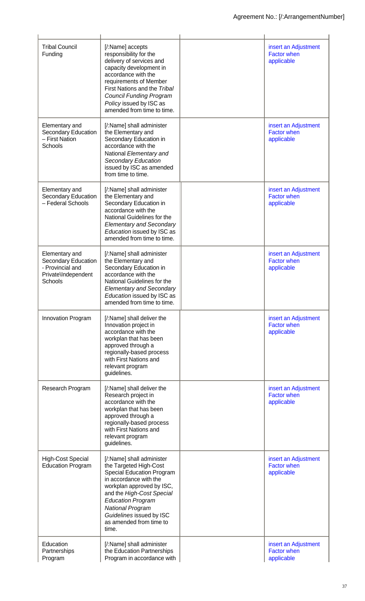| <b>Tribal Council</b><br>Funding                                                            | [/:Name] accepts<br>responsibility for the<br>delivery of services and<br>capacity development in<br>accordance with the<br>requirements of Member<br>First Nations and the Tribal<br><b>Council Funding Program</b><br>Policy issued by ISC as<br>amended from time to time.                      | insert an Adjustment<br><b>Factor when</b><br>applicable |
|---------------------------------------------------------------------------------------------|----------------------------------------------------------------------------------------------------------------------------------------------------------------------------------------------------------------------------------------------------------------------------------------------------|----------------------------------------------------------|
| Elementary and<br>Secondary Education<br>- First Nation<br>Schools                          | [/:Name] shall administer<br>the Elementary and<br>Secondary Education in<br>accordance with the<br>National Elementary and<br><b>Secondary Education</b><br>issued by ISC as amended<br>from time to time.                                                                                        | insert an Adjustment<br><b>Factor when</b><br>applicable |
| Elementary and<br>Secondary Education<br>- Federal Schools                                  | [/:Name] shall administer<br>the Elementary and<br>Secondary Education in<br>accordance with the<br>National Guidelines for the<br><b>Elementary and Secondary</b><br>Education issued by ISC as<br>amended from time to time.                                                                     | insert an Adjustment<br><b>Factor when</b><br>applicable |
| Elementary and<br>Secondary Education<br>- Provincial and<br>Private\Independent<br>Schools | [/:Name] shall administer<br>the Elementary and<br>Secondary Education in<br>accordance with the<br>National Guidelines for the<br><b>Elementary and Secondary</b><br>Education issued by ISC as<br>amended from time to time.                                                                     | insert an Adjustment<br><b>Factor when</b><br>applicable |
| Innovation Program                                                                          | [/:Name] shall deliver the<br>Innovation project in<br>accordance with the<br>workplan that has been<br>approved through a<br>regionally-based process<br>with First Nations and<br>relevant program<br>guidelines.                                                                                | insert an Adjustment<br><b>Factor when</b><br>applicable |
| Research Program                                                                            | [/:Name] shall deliver the<br>Research project in<br>accordance with the<br>workplan that has been<br>approved through a<br>regionally-based process<br>with First Nations and<br>relevant program<br>guidelines.                                                                                  | insert an Adjustment<br><b>Factor when</b><br>applicable |
| <b>High-Cost Special</b><br><b>Education Program</b>                                        | [/:Name] shall administer<br>the Targeted High-Cost<br><b>Special Education Program</b><br>in accordance with the<br>workplan approved by ISC,<br>and the High-Cost Special<br><b>Education Program</b><br><b>National Program</b><br>Guidelines issued by ISC<br>as amended from time to<br>time. | insert an Adjustment<br><b>Factor when</b><br>applicable |
| Education<br>Partnerships<br>Program                                                        | [/:Name] shall administer<br>the Education Partnerships<br>Program in accordance with                                                                                                                                                                                                              | insert an Adjustment<br><b>Factor when</b><br>applicable |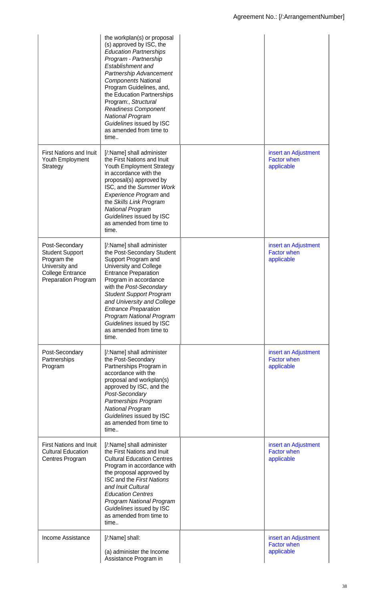|                                                                                                                                    | the workplan(s) or proposal<br>(s) approved by ISC, the<br><b>Education Partnerships</b><br>Program - Partnership<br>Establishment and<br>Partnership Advancement<br><b>Components National</b><br>Program Guidelines, and,<br>the Education Partnerships<br>Program:, Structural<br><b>Readiness Component</b><br><b>National Program</b><br>Guidelines issued by ISC<br>as amended from time to<br>time |                                                          |
|------------------------------------------------------------------------------------------------------------------------------------|-----------------------------------------------------------------------------------------------------------------------------------------------------------------------------------------------------------------------------------------------------------------------------------------------------------------------------------------------------------------------------------------------------------|----------------------------------------------------------|
| <b>First Nations and Inuit</b><br>Youth Employment<br>Strategy                                                                     | [/:Name] shall administer<br>the First Nations and Inuit<br><b>Youth Employment Strategy</b><br>in accordance with the<br>proposal(s) approved by<br>ISC, and the Summer Work<br><b>Experience Program and</b><br>the Skills Link Program<br><b>National Program</b><br>Guidelines issued by ISC<br>as amended from time to<br>time.                                                                      | insert an Adjustment<br><b>Factor when</b><br>applicable |
| Post-Secondary<br><b>Student Support</b><br>Program the<br>University and<br><b>College Entrance</b><br><b>Preparation Program</b> | [/:Name] shall administer<br>the Post-Secondary Student<br>Support Program and<br>University and College<br><b>Entrance Preparation</b><br>Program in accordance<br>with the Post-Secondary<br><b>Student Support Program</b><br>and University and College<br><b>Entrance Preparation</b><br><b>Program National Program</b><br>Guidelines issued by ISC<br>as amended from time to<br>time.             | insert an Adjustment<br><b>Factor when</b><br>applicable |
| Post-Secondary<br>Partnerships<br>Program                                                                                          | [/:Name] shall administer<br>the Post-Secondary<br>Partnerships Program in<br>accordance with the<br>proposal and workplan(s)<br>approved by ISC, and the<br>Post-Secondary<br>Partnerships Program<br><b>National Program</b><br>Guidelines issued by ISC<br>as amended from time to<br>time                                                                                                             | insert an Adjustment<br><b>Factor when</b><br>applicable |
| <b>First Nations and Inuit</b><br><b>Cultural Education</b><br><b>Centres Program</b>                                              | [/:Name] shall administer<br>the First Nations and Inuit<br><b>Cultural Education Centres</b><br>Program in accordance with<br>the proposal approved by<br><b>ISC and the First Nations</b><br>and Inuit Cultural<br><b>Education Centres</b><br><b>Program National Program</b><br>Guidelines issued by ISC<br>as amended from time to<br>time                                                           | insert an Adjustment<br><b>Factor when</b><br>applicable |
| Income Assistance                                                                                                                  | [/:Name] shall:<br>(a) administer the Income<br>Assistance Program in                                                                                                                                                                                                                                                                                                                                     | insert an Adjustment<br><b>Factor when</b><br>applicable |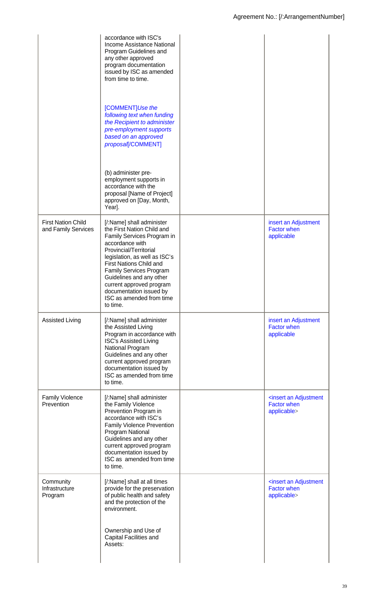|                                                  | accordance with ISC's<br>Income Assistance National<br>Program Guidelines and<br>any other approved<br>program documentation<br>issued by ISC as amended<br>from time to time.<br>[COMMENT]Use the<br>following text when funding<br>the Recipient to administer<br>pre-employment supports<br>based on an approved<br>proposal[/COMMENT]<br>(b) administer pre-<br>employment supports in<br>accordance with the<br>proposal [Name of Project]<br>approved on [Day, Month,<br>Year]. |                                                                               |
|--------------------------------------------------|---------------------------------------------------------------------------------------------------------------------------------------------------------------------------------------------------------------------------------------------------------------------------------------------------------------------------------------------------------------------------------------------------------------------------------------------------------------------------------------|-------------------------------------------------------------------------------|
| <b>First Nation Child</b><br>and Family Services | [/:Name] shall administer<br>the First Nation Child and<br>Family Services Program in<br>accordance with<br>Provincial/Territorial<br>legislation, as well as ISC's<br><b>First Nations Child and</b><br><b>Family Services Program</b><br>Guidelines and any other<br>current approved program<br>documentation issued by<br>ISC as amended from time<br>to time.                                                                                                                    | insert an Adjustment<br><b>Factor when</b><br>applicable                      |
| <b>Assisted Living</b>                           | [/:Name] shall administer<br>the Assisted Living<br>Program in accordance with<br><b>ISC's Assisted Living</b><br>National Program<br>Guidelines and any other<br>current approved program<br>documentation issued by<br>ISC as amended from time<br>to time.                                                                                                                                                                                                                         | insert an Adjustment<br><b>Factor when</b><br>applicable                      |
| <b>Family Violence</b><br>Prevention             | [/:Name] shall administer<br>the Family Violence<br>Prevention Program in<br>accordance with ISC's<br><b>Family Violence Prevention</b><br>Program National<br>Guidelines and any other<br>current approved program<br>documentation issued by<br>ISC as amended from time<br>to time.                                                                                                                                                                                                | <insert adjustment<br="" an=""><b>Factor when</b><br/>applicable&gt;</insert> |
| Community<br>Infrastructure<br>Program           | [/:Name] shall at all times<br>provide for the preservation<br>of public health and safety<br>and the protection of the<br>environment.<br>Ownership and Use of<br>Capital Facilities and                                                                                                                                                                                                                                                                                             | <insert adjustment<br="" an=""><b>Factor when</b><br/>applicable&gt;</insert> |
|                                                  | Assets:                                                                                                                                                                                                                                                                                                                                                                                                                                                                               |                                                                               |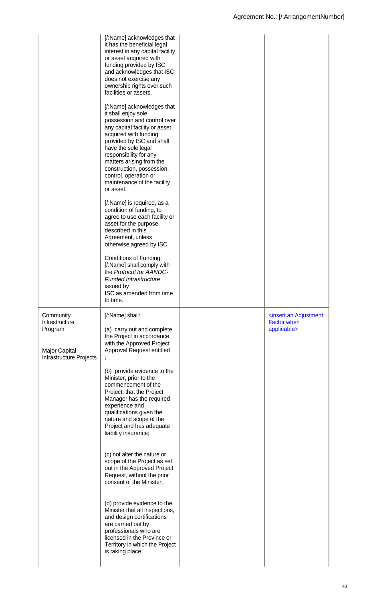|                                                                                    | [/:Name] acknowledges that<br>it has the beneficial legal<br>interest in any capital facility<br>or asset acquired with<br>funding provided by ISC<br>and acknowledges that ISC<br>does not exercise any<br>ownership rights over such<br>facilities or assets.<br>[/:Name] acknowledges that<br>it shall enjoy sole<br>possession and control over<br>any capital facility or asset<br>acquired with funding<br>provided by ISC and shall<br>have the sole legal<br>responsibility for any<br>matters arising from the<br>construction, possession,<br>control, operation or<br>maintenance of the facility<br>or asset.<br>[/:Name] is required, as a<br>condition of funding, to<br>agree to use each facility or<br>asset for the purpose<br>described in this<br>Agreement, unless<br>otherwise agreed by ISC.<br>Conditions of Funding:<br>[/:Name] shall comply with<br>the Protocol for AANDC-<br><b>Funded Infrastructure</b><br>issued by<br>ISC as amended from time<br>to time. |                                                                               |
|------------------------------------------------------------------------------------|---------------------------------------------------------------------------------------------------------------------------------------------------------------------------------------------------------------------------------------------------------------------------------------------------------------------------------------------------------------------------------------------------------------------------------------------------------------------------------------------------------------------------------------------------------------------------------------------------------------------------------------------------------------------------------------------------------------------------------------------------------------------------------------------------------------------------------------------------------------------------------------------------------------------------------------------------------------------------------------------|-------------------------------------------------------------------------------|
| Community<br>Infrastructure<br>Program<br>Major Capital<br>Infrastructure Projects | [/:Name] shall:<br>(a) carry out and complete<br>the Project in accordance<br>with the Approved Project<br>Approval Request entitled                                                                                                                                                                                                                                                                                                                                                                                                                                                                                                                                                                                                                                                                                                                                                                                                                                                        | <insert adjustment<br="" an=""><b>Factor when</b><br/>applicable&gt;</insert> |
|                                                                                    | (b) provide evidence to the<br>Minister, prior to the<br>commencement of the<br>Project, that the Project<br>Manager has the required<br>experience and<br>qualifications given the<br>nature and scope of the<br>Project and has adequate<br>liability insurance;                                                                                                                                                                                                                                                                                                                                                                                                                                                                                                                                                                                                                                                                                                                          |                                                                               |
|                                                                                    | (c) not alter the nature or<br>scope of the Project as set<br>out in the Approved Project<br>Request, without the prior<br>consent of the Minister;                                                                                                                                                                                                                                                                                                                                                                                                                                                                                                                                                                                                                                                                                                                                                                                                                                         |                                                                               |
|                                                                                    | (d) provide evidence to the<br>Minister that all inspections,<br>and design certifications<br>are carried out by<br>professionals who are<br>licensed in the Province or<br>Territory in which the Project<br>is taking place;                                                                                                                                                                                                                                                                                                                                                                                                                                                                                                                                                                                                                                                                                                                                                              |                                                                               |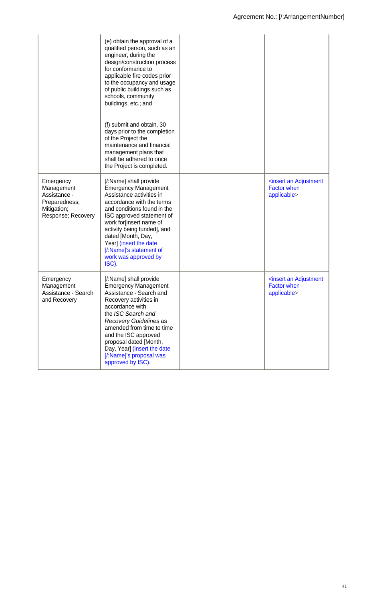|                                                                                               | (e) obtain the approval of a<br>qualified person, such as an<br>engineer, during the<br>design/construction process<br>for conformance to<br>applicable fire codes prior<br>to the occupancy and usage<br>of public buildings such as<br>schools, community<br>buildings, etc.; and<br>(f) submit and obtain, 30<br>days prior to the completion<br>of the Project the<br>maintenance and financial<br>management plans that<br>shall be adhered to once<br>the Project is completed. |                                                                               |
|-----------------------------------------------------------------------------------------------|---------------------------------------------------------------------------------------------------------------------------------------------------------------------------------------------------------------------------------------------------------------------------------------------------------------------------------------------------------------------------------------------------------------------------------------------------------------------------------------|-------------------------------------------------------------------------------|
| Emergency<br>Management<br>Assistance -<br>Preparedness;<br>Mitigation;<br>Response; Recovery | [/:Name] shall provide<br><b>Emergency Management</b><br>Assistance activities in<br>accordance with the terms<br>and conditions found in the<br>ISC approved statement of<br>work for[insert name of<br>activity being funded], and<br>dated [Month, Day,<br>Year] (insert the date<br>[/:Name]'s statement of<br>work was approved by<br>ISC).                                                                                                                                      | <insert adjustment<br="" an=""><b>Factor when</b><br/>applicable&gt;</insert> |
| Emergency<br>Management<br>Assistance - Search<br>and Recovery                                | [/:Name] shall provide<br><b>Emergency Management</b><br>Assistance - Search and<br>Recovery activities in<br>accordance with<br>the ISC Search and<br>Recovery Guidelines as<br>amended from time to time<br>and the ISC approved<br>proposal dated [Month,<br>Day, Year] (insert the date<br>[/:Name]'s proposal was<br>approved by ISC).                                                                                                                                           | <insert adjustment<br="" an=""><b>Factor when</b><br/>applicable&gt;</insert> |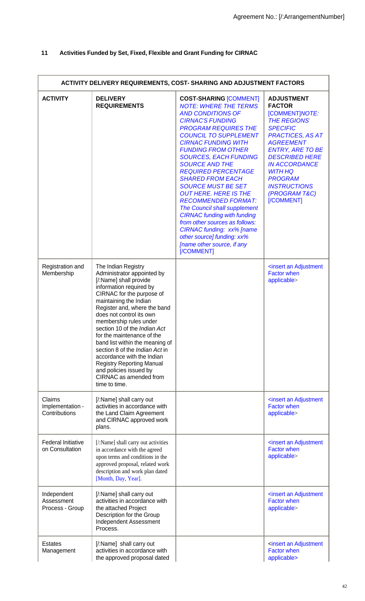# **11 Activities Funded by Set, Fixed, Flexible and Grant Funding for CIRNAC**

| ACTIVITY DELIVERY REQUIREMENTS, COST- SHARING AND ADJUSTMENT FACTORS |                                                                                                                                                                                                                                                                                                                                                                                                                                                                                                                                      |                                                                                                                                                                                                                                                                                                                                                                                                                                                                                                                                                                                                                                                                                          |                                                                                                                                                                                                                                                                                                                      |
|----------------------------------------------------------------------|--------------------------------------------------------------------------------------------------------------------------------------------------------------------------------------------------------------------------------------------------------------------------------------------------------------------------------------------------------------------------------------------------------------------------------------------------------------------------------------------------------------------------------------|------------------------------------------------------------------------------------------------------------------------------------------------------------------------------------------------------------------------------------------------------------------------------------------------------------------------------------------------------------------------------------------------------------------------------------------------------------------------------------------------------------------------------------------------------------------------------------------------------------------------------------------------------------------------------------------|----------------------------------------------------------------------------------------------------------------------------------------------------------------------------------------------------------------------------------------------------------------------------------------------------------------------|
| <b>ACTIVITY</b>                                                      | <b>DELIVERY</b><br><b>REQUIREMENTS</b>                                                                                                                                                                                                                                                                                                                                                                                                                                                                                               | <b>COST-SHARING [COMMENT]</b><br><b>NOTE: WHERE THE TERMS</b><br><b>AND CONDITIONS OF</b><br><b>CIRNAC'S FUNDING</b><br><b>PROGRAM REQUIRES THE</b><br><b>COUNCIL TO SUPPLEMENT</b><br><b>CIRNAC FUNDING WITH</b><br><b>FUNDING FROM OTHER</b><br><b>SOURCES, EACH FUNDING</b><br><b>SOURCE AND THE</b><br><b>REQUIRED PERCENTAGE</b><br><b>SHARED FROM EACH</b><br><b>SOURCE MUST BE SET</b><br><b>OUT HERE. HERE IS THE</b><br><b>RECOMMENDED FORMAT:</b><br><b>The Council shall supplement</b><br><b>CIRNAC funding with funding</b><br>from other sources as follows:<br><b>CIRNAC funding: xx% [name</b><br>other source] funding: xx%<br>[name other source, if any<br>[/COMMENT] | <b>ADJUSTMENT</b><br><b>FACTOR</b><br>[COMMENT] NOTE:<br><b>THE REGIONS'</b><br><b>SPECIFIC</b><br><b>PRACTICES, AS AT</b><br><b>AGREEMENT</b><br><b>ENTRY, ARE TO BE</b><br><b>DESCRIBED HERE</b><br><b>IN ACCORDANCE</b><br><b>WITH HQ</b><br><b>PROGRAM</b><br><b>INSTRUCTIONS</b><br>(PROGRAM T&C)<br>[/COMMENT] |
| Registration and<br>Membership                                       | The Indian Registry<br>Administrator appointed by<br>[/:Name] shall provide<br>information required by<br>CIRNAC for the purpose of<br>maintaining the Indian<br>Register and, where the band<br>does not control its own<br>membership rules under<br>section 10 of the Indian Act<br>for the maintenance of the<br>band list within the meaning of<br>section 8 of the <i>Indian Act</i> in<br>accordance with the Indian<br><b>Registry Reporting Manual</b><br>and policies issued by<br>CIRNAC as amended from<br>time to time. |                                                                                                                                                                                                                                                                                                                                                                                                                                                                                                                                                                                                                                                                                          | <insert adjustment<br="" an=""><b>Factor when</b><br/>applicable&gt;</insert>                                                                                                                                                                                                                                        |
| Claims<br>Implementation -<br>Contributions                          | [/:Name] shall carry out<br>activities in accordance with<br>the Land Claim Agreement<br>and CIRNAC approved work<br>plans.                                                                                                                                                                                                                                                                                                                                                                                                          |                                                                                                                                                                                                                                                                                                                                                                                                                                                                                                                                                                                                                                                                                          | <insert adjustment<br="" an=""><b>Factor when</b><br/>applicable&gt;</insert>                                                                                                                                                                                                                                        |
| <b>Federal Initiative</b><br>on Consultation                         | [/:Name] shall carry out activities<br>in accordance with the agreed<br>upon terms and conditions in the<br>approved proposal, related work<br>description and work plan dated<br>[Month, Day, Year].                                                                                                                                                                                                                                                                                                                                |                                                                                                                                                                                                                                                                                                                                                                                                                                                                                                                                                                                                                                                                                          | <insert adjustment<br="" an=""><b>Factor when</b><br/>applicable&gt;</insert>                                                                                                                                                                                                                                        |
| Independent<br>Assessment<br>Process - Group                         | [/:Name] shall carry out<br>activities in accordance with<br>the attached Project<br>Description for the Group<br>Independent Assessment<br>Process.                                                                                                                                                                                                                                                                                                                                                                                 |                                                                                                                                                                                                                                                                                                                                                                                                                                                                                                                                                                                                                                                                                          | <insert adjustment<br="" an=""><b>Factor when</b><br/>applicable&gt;</insert>                                                                                                                                                                                                                                        |
| <b>Estates</b><br>Management                                         | [/:Name] shall carry out<br>activities in accordance with<br>the approved proposal dated                                                                                                                                                                                                                                                                                                                                                                                                                                             |                                                                                                                                                                                                                                                                                                                                                                                                                                                                                                                                                                                                                                                                                          | <insert adjustment<br="" an=""><b>Factor when</b><br/>applicable&gt;</insert>                                                                                                                                                                                                                                        |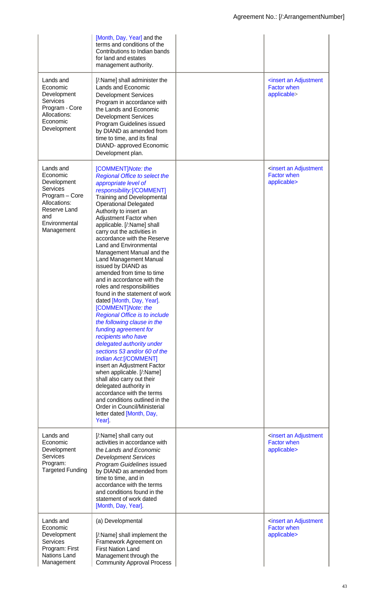| Lands and<br>Economic<br>Development<br><b>Services</b><br>Program - Core<br>Allocations:<br>Economic<br>Development                     | [Month, Day, Year] and the<br>terms and conditions of the<br>Contributions to Indian bands<br>for land and estates<br>management authority.<br>[/:Name] shall administer the<br>Lands and Economic<br><b>Development Services</b><br>Program in accordance with<br>the Lands and Economic<br><b>Development Services</b><br>Program Guidelines issued<br>by DIAND as amended from<br>time to time, and its final<br><b>DIAND-</b> approved Economic<br>Development plan.                                                                                                                                                                                                                                                                                                                                                                                                                                                                                                                                                                                                                                        | <insert adjustment<br="" an=""><b>Factor when</b><br/>applicable&gt;</insert> |
|------------------------------------------------------------------------------------------------------------------------------------------|-----------------------------------------------------------------------------------------------------------------------------------------------------------------------------------------------------------------------------------------------------------------------------------------------------------------------------------------------------------------------------------------------------------------------------------------------------------------------------------------------------------------------------------------------------------------------------------------------------------------------------------------------------------------------------------------------------------------------------------------------------------------------------------------------------------------------------------------------------------------------------------------------------------------------------------------------------------------------------------------------------------------------------------------------------------------------------------------------------------------|-------------------------------------------------------------------------------|
| Lands and<br>Economic<br>Development<br>Services<br>Program - Core<br>Allocations:<br>Reserve Land<br>and<br>Environmental<br>Management | [COMMENT] Note: the<br><b>Regional Office to select the</b><br>appropriate level of<br>responsibility:[/COMMENT]<br><b>Training and Developmental</b><br><b>Operational Delegated</b><br>Authority to insert an<br>Adjustment Factor when<br>applicable. [/:Name] shall<br>carry out the activities in<br>accordance with the Reserve<br><b>Land and Environmental</b><br>Management Manual and the<br>Land Management Manual<br>issued by DIAND as<br>amended from time to time<br>and in accordance with the<br>roles and responsibilities<br>found in the statement of work<br>dated [Month, Day, Year].<br>[COMMENT] Note: the<br><b>Regional Office is to include</b><br>the following clause in the<br>funding agreement for<br>recipients who have<br>delegated authority under<br>sections 53 and/or 60 of the<br><b>Indian Act:[/COMMENT]</b><br>insert an Adjustment Factor<br>when applicable. [/:Name]<br>shall also carry out their<br>delegated authority in<br>accordance with the terms<br>and conditions outlined in the<br>Order in Council/Ministerial<br>letter dated [Month, Day,<br>Year] | <insert adjustment<br="" an=""><b>Factor when</b><br/>applicable&gt;</insert> |
| Lands and<br>Economic<br>Development<br><b>Services</b><br>Program:<br><b>Targeted Funding</b>                                           | [/:Name] shall carry out<br>activities in accordance with<br>the Lands and Economic<br><b>Development Services</b><br>Program Guidelines issued<br>by DIAND as amended from<br>time to time, and in<br>accordance with the terms<br>and conditions found in the<br>statement of work dated<br>[Month, Day, Year].                                                                                                                                                                                                                                                                                                                                                                                                                                                                                                                                                                                                                                                                                                                                                                                               | <insert adjustment<br="" an=""><b>Factor when</b><br/>applicable&gt;</insert> |
| Lands and<br>Economic<br>Development<br><b>Services</b><br>Program: First<br>Nations Land<br>Management                                  | (a) Developmental<br>[/:Name] shall implement the<br>Framework Agreement on<br><b>First Nation Land</b><br>Management through the<br><b>Community Approval Process</b>                                                                                                                                                                                                                                                                                                                                                                                                                                                                                                                                                                                                                                                                                                                                                                                                                                                                                                                                          | <insert adjustment<br="" an=""><b>Factor when</b><br/>applicable&gt;</insert> |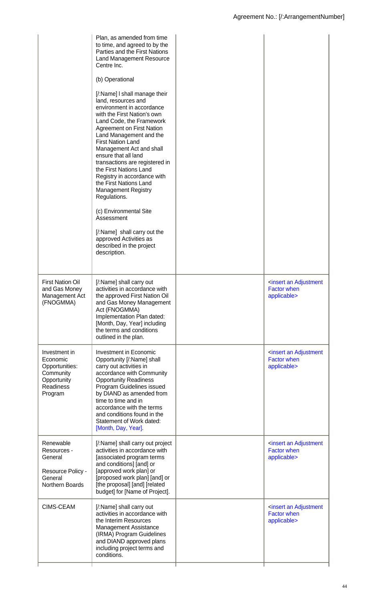| the First Nations Land<br>Registry in accordance with<br>the First Nations Land<br><b>Management Registry</b><br>Regulations.<br>(c) Environmental Site<br>Assessment<br>[/:Name] shall carry out the<br>approved Activities as<br>described in the project<br>description.                                                                                                                                                                                                                                                                             |  |
|---------------------------------------------------------------------------------------------------------------------------------------------------------------------------------------------------------------------------------------------------------------------------------------------------------------------------------------------------------------------------------------------------------------------------------------------------------------------------------------------------------------------------------------------------------|--|
| <b>First Nation Oil</b><br>[/:Name] shall carry out<br><insert adjustment<br="" an="">and Gas Money<br/>activities in accordance with<br/><b>Factor when</b><br/>the approved First Nation Oil<br/>Management Act<br/>applicable&gt;<br/>(FNOGMMA)<br/>and Gas Money Management<br/>Act (FNOGMMA)<br/>Implementation Plan dated:<br/>[Month, Day, Year] including<br/>the terms and conditions<br/>outlined in the plan.</insert>                                                                                                                       |  |
| <b>Investment in Economic</b><br>Investment in<br><insert adjustment<br="" an=""><b>Factor when</b><br/>Economic<br/>Opportunity [/:Name] shall<br/>applicable&gt;<br/>Opportunities:<br/>carry out activities in<br/>Community<br/>accordance with Community<br/>Opportunity<br/><b>Opportunity Readiness</b><br/>Readiness<br/>Program Guidelines issued<br/>by DIAND as amended from<br/>Program<br/>time to time and in<br/>accordance with the terms<br/>and conditions found in the<br/>Statement of Work dated:<br/>[Month, Day, Year].</insert> |  |
| [/:Name] shall carry out project<br>Renewable<br><insert adjustment<br="" an="">activities in accordance with<br/><b>Factor when</b><br/>Resources -<br/>General<br/>[associated program terms<br/>applicable&gt;<br/>and conditions] [and] or<br/>[approved work plan] or<br/>Resource Policy -<br/>[proposed work plan] [and] or<br/>General<br/>Northern Boards<br/>[the proposal] [and] [related<br/>budget] for [Name of Project].</insert>                                                                                                        |  |
| <b>CIMS-CEAM</b><br>[/:Name] shall carry out<br><insert adjustment<br="" an="">activities in accordance with<br/><b>Factor when</b><br/>the Interim Resources<br/>applicable&gt;<br/><b>Management Assistance</b><br/>(IRMA) Program Guidelines<br/>and DIAND approved plans<br/>including project terms and<br/>conditions.</insert>                                                                                                                                                                                                                   |  |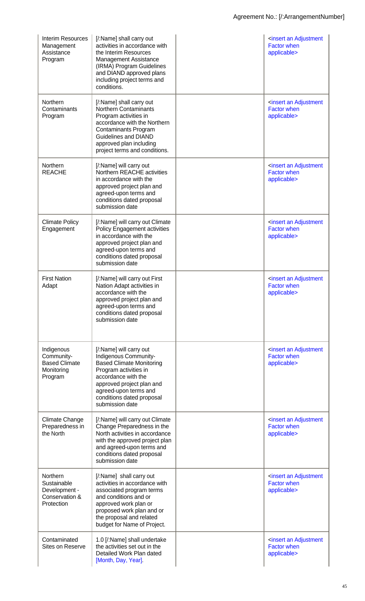| Interim Resources<br>Management<br>Assistance<br>Program                  | [/:Name] shall carry out<br>activities in accordance with<br>the Interim Resources<br><b>Management Assistance</b><br>(IRMA) Program Guidelines<br>and DIAND approved plans<br>including project terms and<br>conditions.                   | <insert adjustment<br="" an=""><b>Factor when</b><br/>applicable&gt;</insert> |
|---------------------------------------------------------------------------|---------------------------------------------------------------------------------------------------------------------------------------------------------------------------------------------------------------------------------------------|-------------------------------------------------------------------------------|
| Northern<br>Contaminants<br>Program                                       | [/:Name] shall carry out<br><b>Northern Contaminants</b><br>Program activities in<br>accordance with the Northern<br><b>Contaminants Program</b><br><b>Guidelines and DIAND</b><br>approved plan including<br>project terms and conditions. | <insert adjustment<br="" an=""><b>Factor when</b><br/>applicable&gt;</insert> |
| Northern<br><b>REACHE</b>                                                 | [/:Name] will carry out<br>Northern REACHE activities<br>in accordance with the<br>approved project plan and<br>agreed-upon terms and<br>conditions dated proposal<br>submission date                                                       | <insert adjustment<br="" an=""><b>Factor when</b><br/>applicable&gt;</insert> |
| <b>Climate Policy</b><br>Engagement                                       | [/:Name] will carry out Climate<br><b>Policy Engagement activities</b><br>in accordance with the<br>approved project plan and<br>agreed-upon terms and<br>conditions dated proposal<br>submission date                                      | <insert adjustment<br="" an=""><b>Factor when</b><br/>applicable&gt;</insert> |
| <b>First Nation</b><br>Adapt                                              | [/:Name] will carry out First<br>Nation Adapt activities in<br>accordance with the<br>approved project plan and<br>agreed-upon terms and<br>conditions dated proposal<br>submission date                                                    | <insert adjustment<br="" an=""><b>Factor when</b><br/>applicable&gt;</insert> |
| Indigenous<br>Community-<br><b>Based Climate</b><br>Monitoring<br>Program | [/:Name] will carry out<br>Indigenous Community-<br><b>Based Climate Monitoring</b><br>Program activities in<br>accordance with the<br>approved project plan and<br>agreed-upon terms and<br>conditions dated proposal<br>submission date   | <insert adjustment<br="" an=""><b>Factor when</b><br/>applicable&gt;</insert> |
| Climate Change<br>Preparedness in<br>the North                            | [/:Name] will carry out Climate<br>Change Preparedness in the<br>North activities in accordance<br>with the approved project plan<br>and agreed-upon terms and<br>conditions dated proposal<br>submission date                              | <insert adjustment<br="" an=""><b>Factor when</b><br/>applicable&gt;</insert> |
| Northern<br>Sustainable<br>Development -<br>Conservation &<br>Protection  | [/:Name] shall carry out<br>activities in accordance with<br>associated program terms<br>and conditions and or<br>approved work plan or<br>proposed work plan and or<br>the proposal and related<br>budget for Name of Project.             | <insert adjustment<br="" an=""><b>Factor when</b><br/>applicable&gt;</insert> |
| Contaminated<br>Sites on Reserve                                          | 1.0 [/:Name] shall undertake<br>the activities set out in the<br>Detailed Work Plan dated<br>[Month, Day, Year].                                                                                                                            | <insert adjustment<br="" an=""><b>Factor when</b><br/>applicable&gt;</insert> |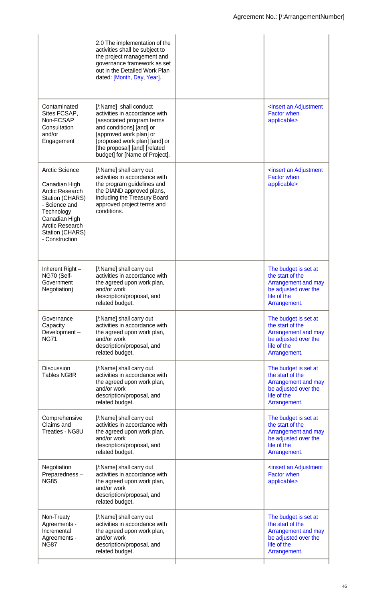|                                                                                                                                                                                                    | 2.0 The implementation of the<br>activities shall be subject to<br>the project management and<br>governance framework as set<br>out in the Detailed Work Plan<br>dated: [Month, Day, Year].                                                     |                                                                                                                        |
|----------------------------------------------------------------------------------------------------------------------------------------------------------------------------------------------------|-------------------------------------------------------------------------------------------------------------------------------------------------------------------------------------------------------------------------------------------------|------------------------------------------------------------------------------------------------------------------------|
| Contaminated<br>Sites FCSAP,<br>Non-FCSAP<br>Consultation<br>and/or<br>Engagement                                                                                                                  | [/:Name] shall conduct<br>activities in accordance with<br>[associated program terms<br>and conditions] [and] or<br>[approved work plan] or<br>[proposed work plan] [and] or<br>[the proposal] [and] [related<br>budget] for [Name of Project]. | <insert adjustment<br="" an=""><b>Factor when</b><br/>applicable&gt;</insert>                                          |
| <b>Arctic Science</b><br>Canadian High<br><b>Arctic Research</b><br>Station (CHARS)<br>- Science and<br>Technology<br>Canadian High<br><b>Arctic Research</b><br>Station (CHARS)<br>- Construction | [/:Name] shall carry out<br>activities in accordance with<br>the program guidelines and<br>the DIAND approved plans,<br>including the Treasury Board<br>approved project terms and<br>conditions.                                               | <insert adjustment<br="" an=""><b>Factor when</b><br/>applicable&gt;</insert>                                          |
| Inherent Right-<br>NG70 (Self-<br>Government<br>Negotiation)                                                                                                                                       | [/:Name] shall carry out<br>activities in accordance with<br>the agreed upon work plan,<br>and/or work<br>description/proposal, and<br>related budget.                                                                                          | The budget is set at<br>the start of the<br>Arrangement and may<br>be adjusted over the<br>life of the<br>Arrangement. |
| Governance<br>Capacity<br>Development-<br><b>NG71</b>                                                                                                                                              | [/:Name] shall carry out<br>activities in accordance with<br>the agreed upon work plan,<br>and/or work<br>description/proposal, and<br>related budget.                                                                                          | The budget is set at<br>the start of the<br>Arrangement and may<br>be adjusted over the<br>life of the<br>Arrangement. |
| <b>Discussion</b><br><b>Tables NG8R</b>                                                                                                                                                            | [/:Name] shall carry out<br>activities in accordance with<br>the agreed upon work plan,<br>and/or work<br>description/proposal, and<br>related budget.                                                                                          | The budget is set at<br>the start of the<br>Arrangement and may<br>be adjusted over the<br>life of the<br>Arrangement. |
| Comprehensive<br>Claims and<br>Treaties - NG8U                                                                                                                                                     | [/:Name] shall carry out<br>activities in accordance with<br>the agreed upon work plan,<br>and/or work<br>description/proposal, and<br>related budget.                                                                                          | The budget is set at<br>the start of the<br>Arrangement and may<br>be adjusted over the<br>life of the<br>Arrangement. |
| Negotiation<br>Preparedness-<br><b>NG85</b>                                                                                                                                                        | [/:Name] shall carry out<br>activities in accordance with<br>the agreed upon work plan,<br>and/or work<br>description/proposal, and<br>related budget.                                                                                          | <insert adjustment<br="" an=""><b>Factor when</b><br/>applicable&gt;</insert>                                          |
| Non-Treaty<br>Agreements -<br>Incremental<br>Agreements -<br><b>NG87</b>                                                                                                                           | [/:Name] shall carry out<br>activities in accordance with<br>the agreed upon work plan,<br>and/or work<br>description/proposal, and<br>related budget.                                                                                          | The budget is set at<br>the start of the<br>Arrangement and may<br>be adjusted over the<br>life of the<br>Arrangement. |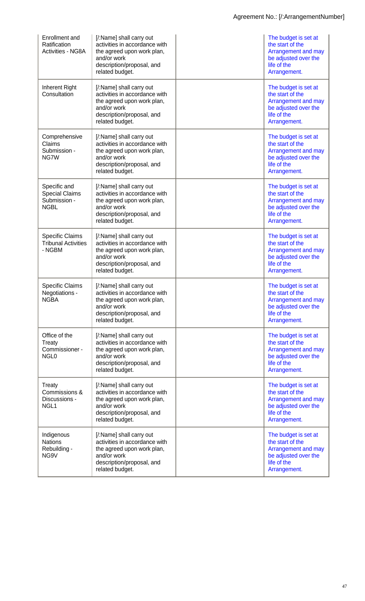| Enrollment and<br>Ratification<br><b>Activities - NG8A</b>           | [/:Name] shall carry out<br>activities in accordance with<br>the agreed upon work plan,<br>and/or work<br>description/proposal, and<br>related budget. | The budget is set at<br>the start of the<br>Arrangement and may<br>be adjusted over the<br>life of the<br>Arrangement. |
|----------------------------------------------------------------------|--------------------------------------------------------------------------------------------------------------------------------------------------------|------------------------------------------------------------------------------------------------------------------------|
| Inherent Right<br>Consultation                                       | [/:Name] shall carry out<br>activities in accordance with<br>the agreed upon work plan,<br>and/or work<br>description/proposal, and<br>related budget. | The budget is set at<br>the start of the<br>Arrangement and may<br>be adjusted over the<br>life of the<br>Arrangement. |
| Comprehensive<br>Claims<br>Submission -<br>NG7W                      | [/:Name] shall carry out<br>activities in accordance with<br>the agreed upon work plan,<br>and/or work<br>description/proposal, and<br>related budget. | The budget is set at<br>the start of the<br>Arrangement and may<br>be adjusted over the<br>life of the<br>Arrangement. |
| Specific and<br><b>Special Claims</b><br>Submission -<br><b>NGBL</b> | [/:Name] shall carry out<br>activities in accordance with<br>the agreed upon work plan,<br>and/or work<br>description/proposal, and<br>related budget. | The budget is set at<br>the start of the<br>Arrangement and may<br>be adjusted over the<br>life of the<br>Arrangement. |
| <b>Specific Claims</b><br><b>Tribunal Activities</b><br>- NGBM       | [/:Name] shall carry out<br>activities in accordance with<br>the agreed upon work plan,<br>and/or work<br>description/proposal, and<br>related budget. | The budget is set at<br>the start of the<br>Arrangement and may<br>be adjusted over the<br>life of the<br>Arrangement. |
| <b>Specific Claims</b><br>Negotiations -<br><b>NGBA</b>              | [/:Name] shall carry out<br>activities in accordance with<br>the agreed upon work plan,<br>and/or work<br>description/proposal, and<br>related budget. | The budget is set at<br>the start of the<br>Arrangement and may<br>be adjusted over the<br>life of the<br>Arrangement. |
| Office of the<br>Treaty<br>Commissioner -<br>NGL <sub>0</sub>        | [/:Name] shall carry out<br>activities in accordance with<br>the agreed upon work plan,<br>and/or work<br>description/proposal, and<br>related budget. | The budget is set at<br>the start of the<br>Arrangement and may<br>be adjusted over the<br>life of the<br>Arrangement. |
| Treaty<br>Commissions &<br>Discussions -<br>NGL <sub>1</sub>         | [/:Name] shall carry out<br>activities in accordance with<br>the agreed upon work plan,<br>and/or work<br>description/proposal, and<br>related budget. | The budget is set at<br>the start of the<br>Arrangement and may<br>be adjusted over the<br>life of the<br>Arrangement. |
| Indigenous<br><b>Nations</b><br>Rebuilding -<br>NG9V                 | [/:Name] shall carry out<br>activities in accordance with<br>the agreed upon work plan,<br>and/or work<br>description/proposal, and<br>related budget. | The budget is set at<br>the start of the<br>Arrangement and may<br>be adjusted over the<br>life of the<br>Arrangement. |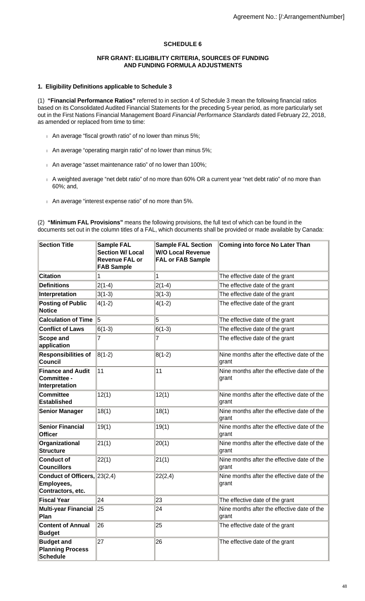# **SCHEDULE 6**

#### **NFR GRANT: ELIGIBILITY CRITERIA, SOURCES OF FUNDING AND FUNDING FORMULA ADJUSTMENTS**

## **1. Eligibility Definitions applicable to Schedule 3**

(1) **"Financial Performance Ratios"** referred to in section 4 of Schedule 3 mean the following financial ratios based on its Consolidated Audited Financial Statements for the preceding 5-year period, as more particularly set out in the First Nations Financial Management Board Financial Performance Standards dated February 22, 2018, as amended or replaced from time to time:

- An average "fiscal growth ratio" of no lower than minus 5%;
- An average "operating margin ratio" of no lower than minus 5%;
- An average "asset maintenance ratio" of no lower than 100%;
- A weighted average "net debt ratio" of no more than 60% OR a current year "net debt ratio" of no more than 60%; and,
- An average "interest expense ratio" of no more than 5%.

(2) **"Minimum FAL Provisions"** means the following provisions, the full text of which can be found in the documents set out in the column titles of a FAL, which documents shall be provided or made available by Canada:

| <b>Section Title</b>                                             | <b>Sample FAL</b><br><b>Section W/ Local</b><br><b>Revenue FAL or</b><br><b>FAB Sample</b> | <b>Sample FAL Section</b><br><b>W/O Local Revenue</b><br><b>FAL or FAB Sample</b> | <b>Coming into force No Later Than</b>               |
|------------------------------------------------------------------|--------------------------------------------------------------------------------------------|-----------------------------------------------------------------------------------|------------------------------------------------------|
| <b>Citation</b>                                                  | 1                                                                                          | 1                                                                                 | The effective date of the grant                      |
| <b>Definitions</b>                                               | $2(1-4)$                                                                                   | $2(1-4)$                                                                          | The effective date of the grant                      |
| Interpretation                                                   | $3(1-3)$                                                                                   | $3(1-3)$                                                                          | The effective date of the grant                      |
| <b>Posting of Public</b><br><b>Notice</b>                        | $4(1-2)$                                                                                   | $4(1-2)$                                                                          | The effective date of the grant                      |
| <b>Calculation of Time</b>                                       | 5                                                                                          | 5                                                                                 | The effective date of the grant                      |
| <b>Conflict of Laws</b>                                          | $6(1-3)$                                                                                   | $6(1-3)$                                                                          | The effective date of the grant                      |
| <b>Scope and</b><br>application                                  | 7                                                                                          | 7                                                                                 | The effective date of the grant                      |
| <b>Responsibilities of</b><br><b>Council</b>                     | $8(1-2)$                                                                                   | $8(1-2)$                                                                          | Nine months after the effective date of the<br>grant |
| <b>Finance and Audit</b><br><b>Committee -</b><br>Interpretation | 11                                                                                         | 111                                                                               | Nine months after the effective date of the<br>grant |
| <b>Committee</b><br><b>Established</b>                           | 12(1)                                                                                      | 12(1)                                                                             | Nine months after the effective date of the<br>grant |
| <b>Senior Manager</b>                                            | 18(1)                                                                                      | 18(1)                                                                             | Nine months after the effective date of the<br>grant |
| <b>Senior Financial</b><br><b>Officer</b>                        | 19(1)                                                                                      | 19(1)                                                                             | Nine months after the effective date of the<br>grant |
| Organizational<br><b>Structure</b>                               | 21(1)                                                                                      | 20(1)                                                                             | Nine months after the effective date of the<br>grant |
| <b>Conduct of</b><br><b>Councillors</b>                          | 22(1)                                                                                      | 21(1)                                                                             | Nine months after the effective date of the<br>grant |
| Conduct of Officers, 23(2,4)<br>Employees,<br>Contractors, etc.  |                                                                                            | 22(2,4)                                                                           | Nine months after the effective date of the<br>grant |
| <b>Fiscal Year</b>                                               | 24                                                                                         | 23                                                                                | The effective date of the grant                      |
| Multi-year Financial<br>Plan                                     | 25                                                                                         | 24                                                                                | Nine months after the effective date of the<br>grant |
| <b>Content of Annual</b><br><b>Budget</b>                        | 26                                                                                         | 25                                                                                | The effective date of the grant                      |
| <b>Budget and</b><br><b>Planning Process</b><br><b>Schedule</b>  | 27                                                                                         | 26                                                                                | The effective date of the grant                      |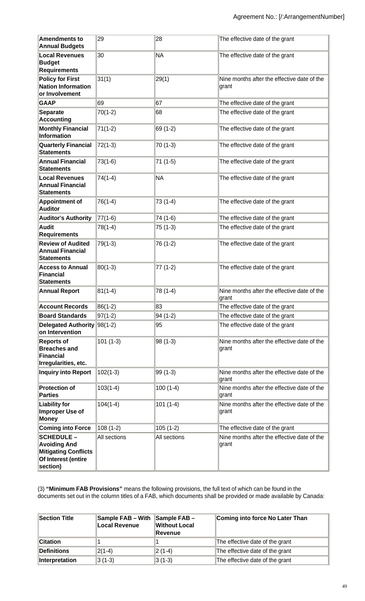| <b>Amendments to</b><br><b>Annual Budgets</b>                                                              | 29           | 28           | The effective date of the grant                      |
|------------------------------------------------------------------------------------------------------------|--------------|--------------|------------------------------------------------------|
| <b>Local Revenues</b><br><b>Budget</b><br><b>Requirements</b>                                              | 30           | <b>NA</b>    | The effective date of the grant                      |
| <b>Policy for First</b><br><b>Nation Information</b><br>or Involvement                                     | 31(1)        | 29(1)        | Nine months after the effective date of the<br>grant |
| <b>GAAP</b>                                                                                                | 69           | 67           | The effective date of the grant                      |
| <b>Separate</b><br><b>Accounting</b>                                                                       | $70(1-2)$    | 68           | The effective date of the grant                      |
| <b>Monthly Financial</b><br>Information                                                                    | $71(1-2)$    | 69 (1-2)     | The effective date of the grant                      |
| <b>Quarterly Financial</b><br><b>Statements</b>                                                            | $72(1-3)$    | $70(1-3)$    | The effective date of the grant                      |
| <b>Annual Financial</b><br><b>Statements</b>                                                               | $73(1-6)$    | 71 (1-5)     | The effective date of the grant                      |
| <b>Local Revenues</b><br><b>Annual Financial</b><br><b>Statements</b>                                      | $74(1-4)$    | <b>NA</b>    | The effective date of the grant                      |
| <b>Appointment of</b><br><b>Auditor</b>                                                                    | $76(1-4)$    | 73 (1-4)     | The effective date of the grant                      |
| <b>Auditor's Authority</b>                                                                                 | $77(1-6)$    | 74 (1-6)     | The effective date of the grant                      |
| <b>Audit</b><br><b>Requirements</b>                                                                        | $78(1-4)$    | 75 (1-3)     | The effective date of the grant                      |
| <b>Review of Audited</b><br><b>Annual Financial</b><br><b>Statements</b>                                   | $79(1-3)$    | 76 (1-2)     | The effective date of the grant                      |
| <b>Access to Annual</b><br>Financial<br><b>Statements</b>                                                  | $80(1-3)$    | 77 (1-2)     | The effective date of the grant                      |
| <b>Annual Report</b>                                                                                       | $81(1-4)$    | 78 (1-4)     | Nine months after the effective date of the<br>grant |
| <b>Account Records</b>                                                                                     | $86(1-2)$    | 83           | The effective date of the grant                      |
| <b>Board Standards</b>                                                                                     | $97(1-2)$    | 94 (1-2)     | The effective date of the grant                      |
| Delegated Authority<br>on Intervention                                                                     | $98(1-2)$    | 95           | The effective date of the grant                      |
| <b>Reports of</b><br><b>Breaches and</b><br>Financial<br>Irregularities, etc.                              | $101(1-3)$   | 98 (1-3)     | Nine months after the effective date of the<br>grant |
| <b>Inquiry into Report</b>                                                                                 | $102(1-3)$   | 99 (1-3)     | Nine months after the effective date of the<br>grant |
| <b>Protection of</b><br><b>Parties</b>                                                                     | $103(1-4)$   | $100(1-4)$   | Nine months after the effective date of the<br>grant |
| <b>Liability for</b><br>Improper Use of<br><b>Money</b>                                                    | $104(1-4)$   | $101(1-4)$   | Nine months after the effective date of the<br>grant |
| <b>Coming into Force</b>                                                                                   | $108(1-2)$   | $105(1-2)$   | The effective date of the grant                      |
| <b>SCHEDULE -</b><br><b>Avoiding And</b><br><b>Mitigating Conflicts</b><br>Of Interest (entire<br>section) | All sections | All sections | Nine months after the effective date of the<br>grant |

(3) **"Minimum FAB Provisions"** means the following provisions, the full text of which can be found in the documents set out in the column titles of a FAB, which documents shall be provided or made available by Canada:

| Section Title         | Sample FAB - With<br>Local Revenue | $\parallel$ Sample FAB -<br>Without Local<br>∥Revenue | Coming into force No Later Than |
|-----------------------|------------------------------------|-------------------------------------------------------|---------------------------------|
| <b>Citation</b>       |                                    |                                                       | The effective date of the grant |
| Definitions           | $ 2(1-4) $                         | $ 2(1-4) $                                            | The effective date of the grant |
| <b>Interpretation</b> | $3(1-3)$                           | 3 (1-3)                                               | The effective date of the grant |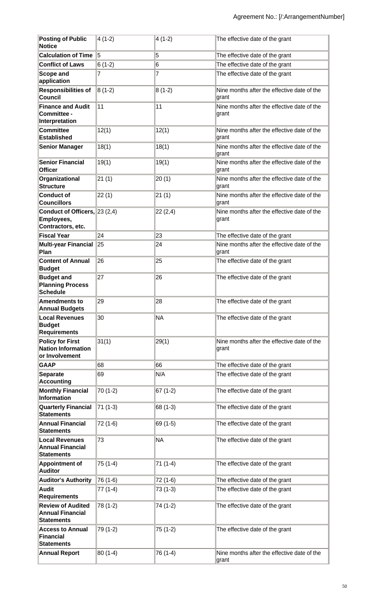| <b>Posting of Public</b><br><b>Notice</b>                                | $ 4(1-2) $ | $4(1-2)$  | The effective date of the grant                      |
|--------------------------------------------------------------------------|------------|-----------|------------------------------------------------------|
| <b>Calculation of Time</b>                                               | Ι5         | 5         | The effective date of the grant                      |
| <b>Conflict of Laws</b>                                                  | $6(1-2)$   | 6         | The effective date of the grant                      |
| <b>Scope and</b><br>application                                          | 7          | 7         | The effective date of the grant                      |
| <b>Responsibilities of</b><br>Council                                    | $ 8(1-2) $ | $8(1-2)$  | Nine months after the effective date of the<br>grant |
| <b>Finance and Audit</b><br>Committee -<br>Interpretation                | 11         | 11        | Nine months after the effective date of the<br>grant |
| <b>Committee</b><br><b>Established</b>                                   | 12(1)      | 12(1)     | Nine months after the effective date of the<br>grant |
| <b>Senior Manager</b>                                                    | 18(1)      | 18(1)     | Nine months after the effective date of the<br>grant |
| <b>Senior Financial</b><br><b>Officer</b>                                | 19(1)      | 19(1)     | Nine months after the effective date of the<br>grant |
| Organizational<br><b>Structure</b>                                       | 21(1)      | 20(1)     | Nine months after the effective date of the<br>grant |
| <b>Conduct of</b><br><b>Councillors</b>                                  | 22(1)      | 21(1)     | Nine months after the effective date of the<br>grant |
| Conduct of Officers, 23 (2,4)<br>Employees,<br>Contractors, etc.         |            | 22(2,4)   | Nine months after the effective date of the<br>grant |
| <b>Fiscal Year</b>                                                       | 24         | 23        | The effective date of the grant                      |
| <b>Multi-year Financial</b><br>Plan                                      | $\ 25$     | 24        | Nine months after the effective date of the<br>grant |
| <b>Content of Annual</b><br><b>Budget</b>                                | 26         | 25        | The effective date of the grant                      |
| <b>Budget and</b><br><b>Planning Process</b><br><b>Schedule</b>          | 27         | 26        | The effective date of the grant                      |
| Amendments to<br><b>Annual Budgets</b>                                   | 29         | 28        | The effective date of the grant                      |
| <b>Local Revenues</b><br><b>Budget</b><br><b>Requirements</b>            | 30         | <b>NA</b> | The effective date of the grant                      |
| <b>Policy for First</b><br><b>Nation Information</b><br>or Involvement   | 31(1)      | 29(1)     | Nine months after the effective date of the<br>grant |
| <b>GAAP</b>                                                              | 68         | 66        | The effective date of the grant                      |
| <b>Separate</b><br><b>Accounting</b>                                     | 69         | N/A       | The effective date of the grant                      |
| <b>Monthly Financial</b><br><b>Information</b>                           | 70 (1-2)   | $67(1-2)$ | The effective date of the grant                      |
| <b>Quarterly Financial</b><br><b>Statements</b>                          | 71 (1-3)   | 68 (1-3)  | The effective date of the grant                      |
| <b>Annual Financial</b><br><b>Statements</b>                             | 72 (1-6)   | 69 (1-5)  | The effective date of the grant                      |
| <b>Local Revenues</b><br><b>Annual Financial</b><br><b>Statements</b>    | 73         | <b>NA</b> | The effective date of the grant                      |
| <b>Appointment of</b><br><b>Auditor</b>                                  | 75 (1-4)   | 71 (1-4)  | The effective date of the grant                      |
| <b>Auditor's Authority</b>                                               | 76 (1-6)   | 72 (1-6)  | The effective date of the grant                      |
| <b>Audit</b><br><b>Requirements</b>                                      | 77 (1-4)   | $73(1-3)$ | The effective date of the grant                      |
| <b>Review of Audited</b><br><b>Annual Financial</b><br><b>Statements</b> | 78 (1-2)   | 74 (1-2)  | The effective date of the grant                      |
| <b>Access to Annual</b><br>Financial<br><b>Statements</b>                | 79 (1-2)   | 75 (1-2)  | The effective date of the grant                      |
| <b>Annual Report</b>                                                     | 80 (1-4)   | 76 (1-4)  | Nine months after the effective date of the<br>grant |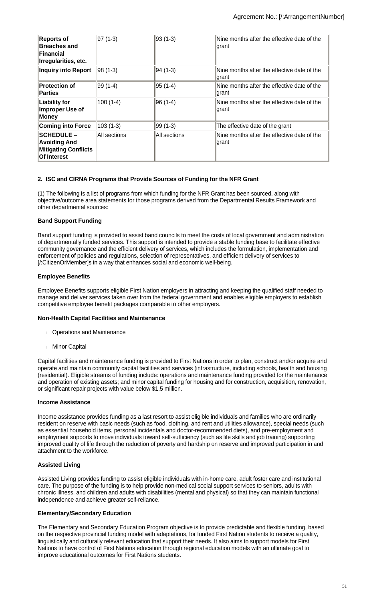| <b>Reports of</b><br><b>Breaches and</b><br>Financial<br>Irregularities, etc.         | 97 (1-3)     | 93 (1-3)     | Nine months after the effective date of the<br>grant |
|---------------------------------------------------------------------------------------|--------------|--------------|------------------------------------------------------|
| <b>Inquiry into Report</b>                                                            | 98 (1-3)     | 94 (1-3)     | Nine months after the effective date of the<br>grant |
| <b>Protection of</b><br><b>Parties</b>                                                | 99 (1-4)     | 95 (1-4)     | Nine months after the effective date of the<br>grant |
| <b>Liability for</b><br>Improper Use of<br>Money                                      | $100(1-4)$   | 96 (1-4)     | Nine months after the effective date of the<br>grant |
| <b>Coming into Force</b>                                                              | $ 103(1-3) $ | 99 (1-3)     | The effective date of the grant                      |
| <b>SCHEDULE-</b><br><b>Avoiding And</b><br><b>Mitigating Conflicts</b><br>Of Interest | All sections | All sections | Nine months after the effective date of the<br>grant |

## **2. ISC and CIRNA Programs that Provide Sources of Funding for the NFR Grant**

(1) The following is a list of programs from which funding for the NFR Grant has been sourced, along with objective/outcome area statements for those programs derived from the Departmental Results Framework and other departmental sources:

# **Band Support Funding**

Band support funding is provided to assist band councils to meet the costs of local government and administration of departmentally funded services. This support is intended to provide a stable funding base to facilitate effective community governance and the efficient delivery of services, which includes the formulation, implementation and enforcement of policies and regulations, selection of representatives, and efficient delivery of services to [/:CitizenOrMember]s in a way that enhances social and economic well-being.

# **Employee Benefits**

Employee Benefits supports eligible First Nation employers in attracting and keeping the qualified staff needed to manage and deliver services taken over from the federal government and enables eligible employers to establish competitive employee benefit packages comparable to other employers.

## **Non-Health Capital Facilities and Maintenance**

- Operations and Maintenance
- **Minor Capital**

Capital facilities and maintenance funding is provided to First Nations in order to plan, construct and/or acquire and operate and maintain community capital facilities and services (infrastructure, including schools, health and housing (residential). Eligible streams of funding include: operations and maintenance funding provided for the maintenance and operation of existing assets; and minor capital funding for housing and for construction, acquisition, renovation, or significant repair projects with value below \$1.5 million.

## **Income Assistance**

Income assistance provides funding as a last resort to assist eligible individuals and families who are ordinarily resident on reserve with basic needs (such as food, clothing, and rent and utilities allowance), special needs (such as essential household items, personal incidentals and doctor-recommended diets), and pre-employment and employment supports to move individuals toward self-sufficiency (such as life skills and job training) supporting improved quality of life through the reduction of poverty and hardship on reserve and improved participation in and attachment to the workforce.

# **Assisted Living**

Assisted Living provides funding to assist eligible individuals with in-home care, adult foster care and institutional care. The purpose of the funding is to help provide non-medical social support services to seniors, adults with chronic illness, and children and adults with disabilities (mental and physical) so that they can maintain functional independence and achieve greater self-reliance.

## **Elementary/Secondary Education**

The Elementary and Secondary Education Program objective is to provide predictable and flexible funding, based on the respective provincial funding model with adaptations, for funded First Nation students to receive a quality, linguistically and culturally relevant education that support their needs. It also aims to support models for First Nations to have control of First Nations education through regional education models with an ultimate goal to improve educational outcomes for First Nations students.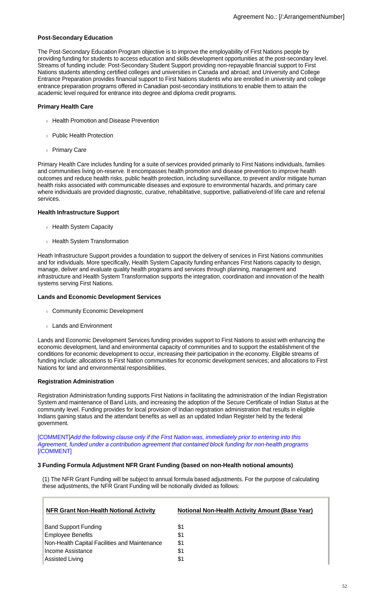#### **Post-Secondary Education**

The Post-Secondary Education Program objective is to improve the employability of First Nations people by providing funding for students to access education and skills development opportunities at the post-secondary level. Streams of funding include: Post-Secondary Student Support providing non-repayable financial support to First Nations students attending certified colleges and universities in Canada and abroad; and University and College Entrance Preparation provides financial support to First Nations students who are enrolled in university and college entrance preparation programs offered in Canadian post-secondary institutions to enable them to attain the academic level required for entrance into degree and diploma credit programs.

#### **Primary Health Care**

- **Health Promotion and Disease Prevention**
- Public Health Protection
- Primary Care

Primary Health Care includes funding for a suite of services provided primarily to First Nations individuals, families and communities living on-reserve. It encompasses health promotion and disease prevention to improve health outcomes and reduce health risks, public health protection, including surveillance, to prevent and/or mitigate human health risks associated with communicable diseases and exposure to environmental hazards, and primary care where individuals are provided diagnostic, curative, rehabilitative, supportive, palliative/end-of life care and referral services.

#### **Health Infrastructure Support**

- Health System Capacity
- **Health System Transformation**

Heath Infrastructure Support provides a foundation to support the delivery of services in First Nations communities and for individuals. More specifically, Health System Capacity funding enhances First Nations capacity to design, manage, deliver and evaluate quality health programs and services through planning, management and infrastructure and Health System Transformation supports the integration, coordination and innovation of the health systems serving First Nations.

#### **Lands and Economic Development Services**

- Community Economic Development
- Lands and Environment

Lands and Economic Development Services funding provides support to First Nations to assist with enhancing the economic development, land and environmental capacity of communities and to support the establishment of the conditions for economic development to occur, increasing their participation in the economy. Eligible streams of funding include: allocations to First Nation communities for economic development services; and allocations to First Nations for land and environmental responsibilities.

## **Registration Administration**

Registration Administration funding supports First Nations in facilitating the administration of the Indian Registration System and maintenance of Band Lists, and increasing the adoption of the Secure Certificate of Indian Status at the community level. Funding provides for local provision of Indian registration administration that results in eligible Indians gaining status and the attendant benefits as well as an updated Indian Register held by the federal government.

[COMMENT]Add the following clause only if the First Nation was, immediately prior to entering into this Agreement, funded under a contribution agreement that contained block funding for non-health programs [/COMMENT]

## **3 Funding Formula Adjustment NFR Grant Funding (based on non-Health notional amounts)**

(1) The NFR Grant Funding will be subject to annual formula based adjustments. For the purpose of calculating these adjustments, the NFR Grant Funding will be notionally divided as follows:

| <b>NFR Grant Non-Health Notional Activity</b> | <b>Notional Non-Health Activity Amount (Base Year)</b> |
|-----------------------------------------------|--------------------------------------------------------|
| <b>Band Support Funding</b>                   | \$1                                                    |
| <b>Employee Benefits</b>                      | \$1                                                    |
| Non-Health Capital Facilities and Maintenance | \$1                                                    |
| Income Assistance                             | \$1                                                    |
| Assisted Living                               | \$1                                                    |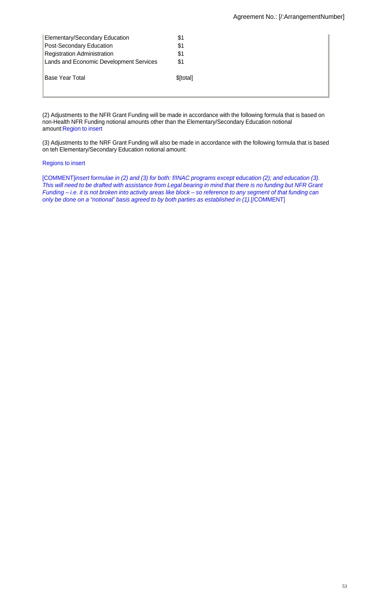| Elementary/Secondary Education          | \$1       |
|-----------------------------------------|-----------|
| Post-Secondary Education                | \$1       |
| <b>Registration Administration</b>      | \$1       |
| Lands and Economic Development Services | \$1       |
| Base Year Total                         | \$[total] |

(2) Adjustments to the NFR Grant Funding will be made in accordance with the following formula that is based on non-Health NFR Funding notional amounts other than the Elementary/Secondary Education notional amount:Region to insert

(3) Adjustments to the NRF Grant Funding will also be made in accordance with the following formula that is based on teh Elementary/Secondary Education notional amount:

# Regions to insert

[COMMENT]insert formulae in (2) and (3) for both: f/INAC programs except education (2); and education (3). This will need to be drafted with assistance from Legal bearing in mind that there is no funding but NFR Grant Funding – i.e. it is not broken into activity areas like block – so reference to any segment of that funding can only be done on a "notional" basis agreed to by both parties as established in (1).[/COMMENT]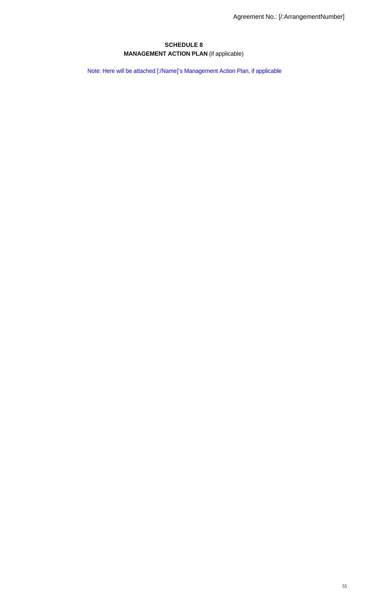# **SCHEDULE 8 MANAGEMENT ACTION PLAN** (if applicable)

Note: Here will be attached [:/Name]'s Management Action Plan, if applicable